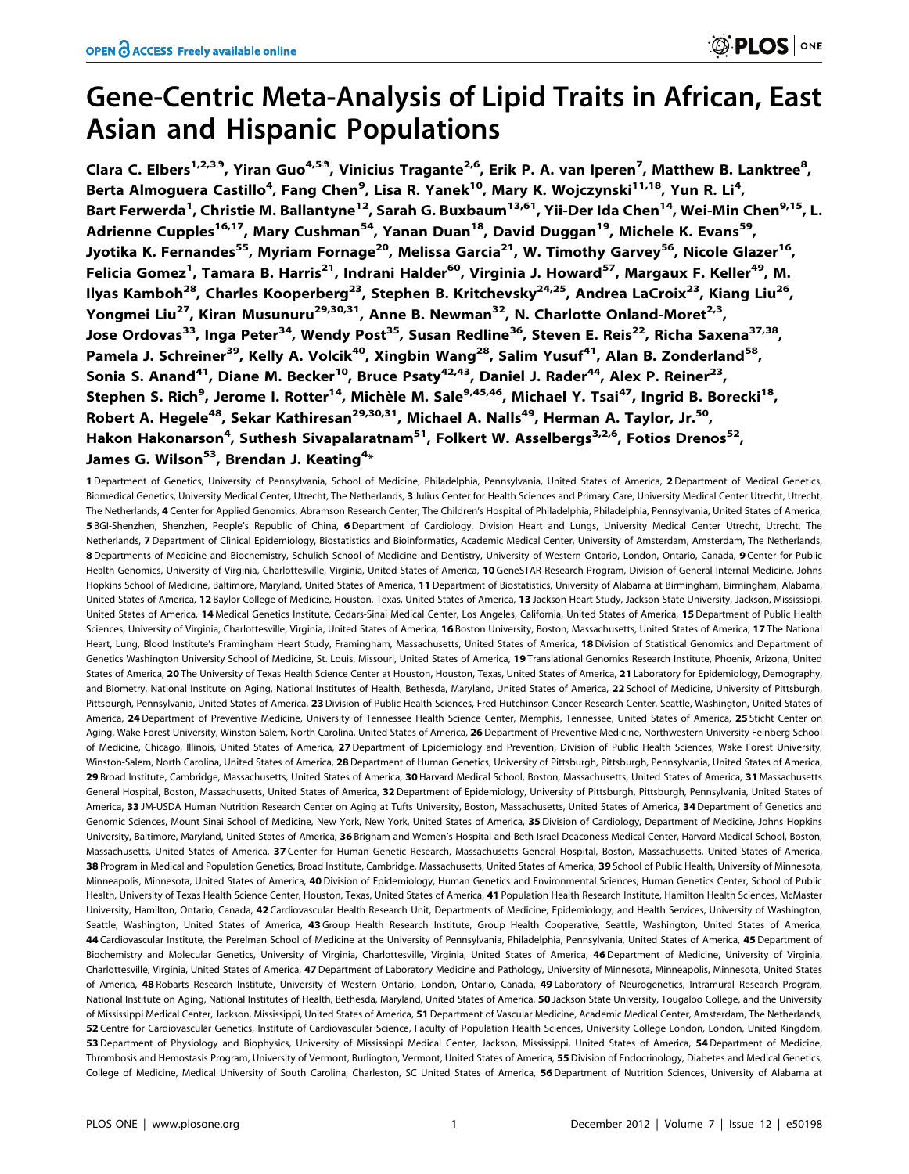# Gene-Centric Meta-Analysis of Lipid Traits in African, East Asian and Hispanic Populations

Clara C. Elbers<sup>1,2,39</sup>, Yiran Guo<sup>4,59</sup>, Vinicius Tragante<sup>2,6</sup>, Erik P. A. van Iperen<sup>7</sup>, Matthew B. Lanktree<sup>8</sup>, Berta Almoguera Castillo<sup>4</sup>, Fang Chen<sup>9</sup>, Lisa R. Yanek<sup>10</sup>, Mary K. Wojczynski<sup>11,18</sup>, Yun R. Li<sup>4</sup>, Bart Ferwerda<sup>1</sup>, Christie M. Ballantyne<sup>12</sup>, Sarah G. Buxbaum<sup>13,61</sup>, Yii-Der Ida Chen<sup>14</sup>, Wei-Min Chen<sup>9,15</sup>, L. Adrienne Cupples<sup>16,17</sup>, Mary Cushman<sup>54</sup>, Yanan Duan<sup>18</sup>, David Duggan<sup>19</sup>, Michele K. Evans<sup>59</sup>, Jyotika K. Fernandes<sup>55</sup>, Myriam Fornage<sup>20</sup>, Melissa Garcia<sup>21</sup>, W. Timothy Garvey<sup>56</sup>, Nicole Glazer<sup>16</sup>, Felicia Gomez<sup>1</sup>, Tamara B. Harris<sup>21</sup>, Indrani Halder<sup>60</sup>, Virginia J. Howard<sup>57</sup>, Margaux F. Keller<sup>49</sup>, M. Ilyas Kamboh<sup>28</sup>, Charles Kooperberg<sup>23</sup>, Stephen B. Kritchevsky<sup>24,25</sup>, Andrea LaCroix<sup>23</sup>, Kiang Liu<sup>26</sup>, Yongmei Liu<sup>27</sup>, Kiran Musunuru<sup>29,30,31</sup>, Anne B. Newman<sup>32</sup>, N. Charlotte Onland-Moret<sup>2,3</sup>, Jose Ordovas<sup>33</sup>, Inga Peter<sup>34</sup>, Wendy Post<sup>35</sup>, Susan Redline<sup>36</sup>, Steven E. Reis<sup>22</sup>, Richa Saxena<sup>37,38</sup>, Pamela J. Schreiner<sup>39</sup>, Kelly A. Volcik<sup>40</sup>, Xingbin Wang<sup>28</sup>, Salim Yusuf<sup>41</sup>, Alan B. Zonderland<sup>58</sup>, Sonia S. Anand<sup>41</sup>, Diane M. Becker<sup>10</sup>, Bruce Psaty<sup>42,43</sup>, Daniel J. Rader<sup>44</sup>, Alex P. Reiner<sup>23</sup>, Stephen S. Rich<sup>9</sup>, Jerome I. Rotter<sup>14</sup>, Michèle M. Sale<sup>9,45,46</sup>, Michael Y. Tsai<sup>47</sup>, Ingrid B. Borecki<sup>18</sup>, Robert A. Hegele<sup>48</sup>, Sekar Kathiresan<sup>29,30,31</sup>, Michael A. Nalls<sup>49</sup>, Herman A. Taylor, Jr.<sup>50</sup>, Hakon Hakonarson<sup>4</sup>, Suthesh Sivapalaratnam<sup>51</sup>, Folkert W. Asselbergs<sup>3,2,6</sup>, Fotios Drenos<sup>52</sup>, James G. Wilson<sup>53</sup>, Brendan J. Keating<sup>4</sup>\*

1 Department of Genetics, University of Pennsylvania, School of Medicine, Philadelphia, Pennsylvania, United States of America, 2 Department of Medical Genetics, Biomedical Genetics, University Medical Center, Utrecht, The Netherlands, 3 Julius Center for Health Sciences and Primary Care, University Medical Center Utrecht, Utrecht, The Netherlands, 4 Center for Applied Genomics, Abramson Research Center, The Children's Hospital of Philadelphia, Philadelphia, Pennsylvania, United States of America, 5 BGI-Shenzhen, Shenzhen, People's Republic of China, 6Department of Cardiology, Division Heart and Lungs, University Medical Center Utrecht, Utrecht, The Netherlands, 7 Department of Clinical Epidemiology, Biostatistics and Bioinformatics, Academic Medical Center, University of Amsterdam, Amsterdam, The Netherlands, 8 Departments of Medicine and Biochemistry, Schulich School of Medicine and Dentistry, University of Western Ontario, London, Ontario, Canada, 9 Center for Public Health Genomics, University of Virginia, Charlottesville, Virginia, United States of America, 10 GeneSTAR Research Program, Division of General Internal Medicine, Johns Hopkins School of Medicine, Baltimore, Maryland, United States of America, 11 Department of Biostatistics, University of Alabama at Birmingham, Birmingham, Alabama, United States of America, 12 Baylor College of Medicine, Houston, Texas, United States of America, 13 Jackson Heart Study, Jackson State University, Jackson, Mississippi, United States of America, 14 Medical Genetics Institute, Cedars-Sinai Medical Center, Los Angeles, California, United States of America, 15 Department of Public Health Sciences, University of Virginia, Charlottesville, Virginia, United States of America, 16 Boston University, Boston, Massachusetts, United States of America, 17 The National Heart, Lung, Blood Institute's Framingham Heart Study, Framingham, Massachusetts, United States of America, 18 Division of Statistical Genomics and Department of Genetics Washington University School of Medicine, St. Louis, Missouri, United States of America, 19 Translational Genomics Research Institute, Phoenix, Arizona, United States of America, 20 The University of Texas Health Science Center at Houston, Houston, Texas, United States of America, 21 Laboratory for Epidemiology, Demography, and Biometry, National Institute on Aging, National Institutes of Health, Bethesda, Maryland, United States of America, 22 School of Medicine, University of Pittsburgh, Pittsburgh, Pennsylvania, United States of America, 23 Division of Public Health Sciences, Fred Hutchinson Cancer Research Center, Seattle, Washington, United States of America, 24 Department of Preventive Medicine, University of Tennessee Health Science Center, Memphis, Tennessee, United States of America, 25 Sticht Center on Aging, Wake Forest University, Winston-Salem, North Carolina, United States of America, 26 Department of Preventive Medicine, Northwestern University Feinberg School of Medicine, Chicago, Illinois, United States of America, 27 Department of Epidemiology and Prevention, Division of Public Health Sciences, Wake Forest University, Winston-Salem, North Carolina, United States of America, 28 Department of Human Genetics, University of Pittsburgh, Pittsburgh, Pennsylvania, United States of America, 29 Broad Institute, Cambridge, Massachusetts, United States of America, 30 Harvard Medical School, Boston, Massachusetts, United States of America, 31 Massachusetts General Hospital, Boston, Massachusetts, United States of America, 32 Department of Epidemiology, University of Pittsburgh, Pittsburgh, Pennsylvania, United States of America, 33 JM-USDA Human Nutrition Research Center on Aging at Tufts University, Boston, Massachusetts, United States of America, 34 Department of Genetics and Genomic Sciences, Mount Sinai School of Medicine, New York, New York, United States of America, 35 Division of Cardiology, Department of Medicine, Johns Hopkins University, Baltimore, Maryland, United States of America, 36 Brigham and Women's Hospital and Beth Israel Deaconess Medical Center, Harvard Medical School, Boston, Massachusetts, United States of America, 37 Center for Human Genetic Research, Massachusetts General Hospital, Boston, Massachusetts, United States of America, 38 Program in Medical and Population Genetics, Broad Institute, Cambridge, Massachusetts, United States of America, 39 School of Public Health, University of Minnesota, Minneapolis, Minnesota, United States of America, 40 Division of Epidemiology, Human Genetics and Environmental Sciences, Human Genetics Center, School of Public Health, University of Texas Health Science Center, Houston, Texas, United States of America, 41 Population Health Research Institute, Hamilton Health Sciences, McMaster University, Hamilton, Ontario, Canada, 42 Cardiovascular Health Research Unit, Departments of Medicine, Epidemiology, and Health Services, University of Washington, Seattle, Washington, United States of America, 43 Group Health Research Institute, Group Health Cooperative, Seattle, Washington, United States of America, 44 Cardiovascular Institute, the Perelman School of Medicine at the University of Pennsylvania, Philadelphia, Pennsylvania, United States of America, 45 Department of Biochemistry and Molecular Genetics, University of Virginia, Charlottesville, Virginia, United States of America, 46 Department of Medicine, University of Virginia, Charlottesville, Virginia, United States of America, 47 Department of Laboratory Medicine and Pathology, University of Minnesota, Minneapolis, Minnesota, United States of America, 48 Robarts Research Institute, University of Western Ontario, London, Ontario, Canada, 49 Laboratory of Neurogenetics, Intramural Research Program, National Institute on Aging, National Institutes of Health, Bethesda, Maryland, United States of America, 50 Jackson State University, Tougaloo College, and the University of Mississippi Medical Center, Jackson, Mississippi, United States of America, 51 Department of Vascular Medicine, Academic Medical Center, Amsterdam, The Netherlands, 52 Centre for Cardiovascular Genetics, Institute of Cardiovascular Science, Faculty of Population Health Sciences, University College London, London, United Kingdom, 53 Department of Physiology and Biophysics, University of Mississippi Medical Center, Jackson, Mississippi, United States of America, 54 Department of Medicine, Thrombosis and Hemostasis Program, University of Vermont, Burlington, Vermont, United States of America, 55 Division of Endocrinology, Diabetes and Medical Genetics, College of Medicine, Medical University of South Carolina, Charleston, SC United States of America, 56 Department of Nutrition Sciences, University of Alabama at

**DEDS** ONE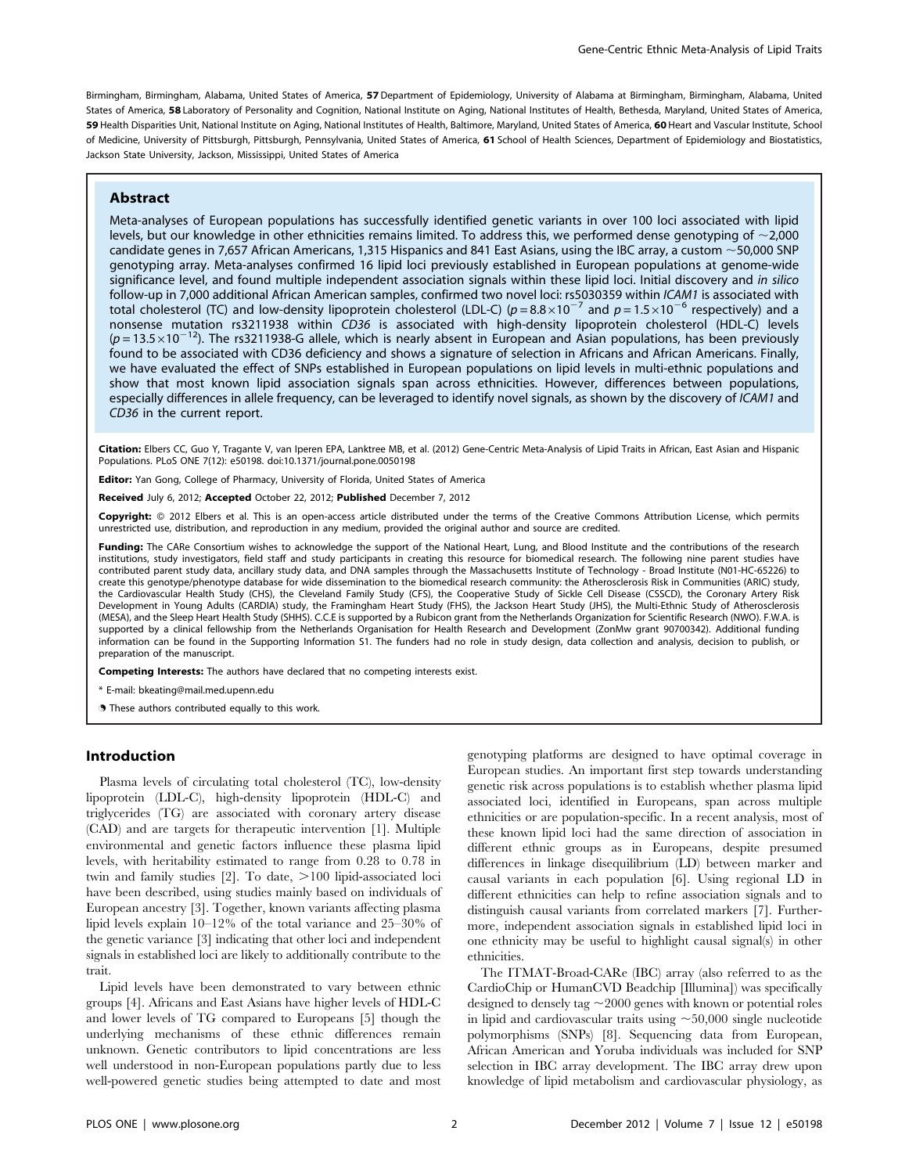Birmingham, Birmingham, Alabama, United States of America, 57 Department of Epidemiology, University of Alabama at Birmingham, Birmingham, Alabama, United States of America, 58 Laboratory of Personality and Cognition, National Institute on Aging, National Institutes of Health, Bethesda, Maryland, United States of America, 59 Health Disparities Unit, National Institute on Aging, National Institutes of Health, Baltimore, Maryland, United States of America, 60 Heart and Vascular Institute, School of Medicine, University of Pittsburgh, Pittsburgh, Pennsylvania, United States of America, 61 School of Health Sciences, Department of Epidemiology and Biostatistics, Jackson State University, Jackson, Mississippi, United States of America

#### Abstract

Meta-analyses of European populations has successfully identified genetic variants in over 100 loci associated with lipid levels, but our knowledge in other ethnicities remains limited. To address this, we performed dense genotyping of  $\sim$ 2,000 candidate genes in 7,657 African Americans, 1,315 Hispanics and 841 East Asians, using the IBC array, a custom  $\sim$  50,000 SNP genotyping array. Meta-analyses confirmed 16 lipid loci previously established in European populations at genome-wide significance level, and found multiple independent association signals within these lipid loci. Initial discovery and in silico follow-up in 7,000 additional African American samples, confirmed two novel loci: rs5030359 within ICAM1 is associated with total cholesterol (TC) and low-density lipoprotein cholesterol (LDL-C) ( $p = 8.8 \times 10^{-7}$  and  $p = 1.5 \times 10^{-6}$  respectively) and a nonsense mutation rs3211938 within CD36 is associated with high-density lipoprotein cholesterol (HDL-C) levels  $(p=13.5\times10^{-12})$ . The rs3211938-G allele, which is nearly absent in European and Asian populations, has been previously found to be associated with CD36 deficiency and shows a signature of selection in Africans and African Americans. Finally, we have evaluated the effect of SNPs established in European populations on lipid levels in multi-ethnic populations and show that most known lipid association signals span across ethnicities. However, differences between populations, especially differences in allele frequency, can be leveraged to identify novel signals, as shown by the discovery of ICAM1 and CD36 in the current report.

Citation: Elbers CC, Guo Y, Tragante V, van Iperen EPA, Lanktree MB, et al. (2012) Gene-Centric Meta-Analysis of Lipid Traits in African, East Asian and Hispanic Populations. PLoS ONE 7(12): e50198. doi:10.1371/journal.pone.0050198

Editor: Yan Gong, College of Pharmacy, University of Florida, United States of America

Received July 6, 2012; Accepted October 22, 2012; Published December 7, 2012

Copyright: © 2012 Elbers et al. This is an open-access article distributed under the terms of the Creative Commons Attribution License, which permits unrestricted use, distribution, and reproduction in any medium, provided the original author and source are credited.

Funding: The CARe Consortium wishes to acknowledge the support of the National Heart, Lung, and Blood Institute and the contributions of the research institutions, study investigators, field staff and study participants in creating this resource for biomedical research. The following nine parent studies have contributed parent study data, ancillary study data, and DNA samples through the Massachusetts Institute of Technology - Broad Institute (N01-HC-65226) to create this genotype/phenotype database for wide dissemination to the biomedical research community: the Atherosclerosis Risk in Communities (ARIC) study, the Cardiovascular Health Study (CHS), the Cleveland Family Study (CFS), the Cooperative Study of Sickle Cell Disease (CSSCD), the Coronary Artery Risk Development in Young Adults (CARDIA) study, the Framingham Heart Study (FHS), the Jackson Heart Study (JHS), the Multi-Ethnic Study of Atherosclerosis (MESA), and the Sleep Heart Health Study (SHHS). C.C.E is supported by a Rubicon grant from the Netherlands Organization for Scientific Research (NWO). F.W.A. is supported by a clinical fellowship from the Netherlands Organisation for Health Research and Development (ZonMw grant 90700342). Additional funding information can be found in the Supporting Information S1. The funders had no role in study design, data collection and analysis, decision to publish, or preparation of the manuscript.

Competing Interests: The authors have declared that no competing interests exist.

\* E-mail: bkeating@mail.med.upenn.edu

. These authors contributed equally to this work.

## Introduction

Plasma levels of circulating total cholesterol (TC), low-density lipoprotein (LDL-C), high-density lipoprotein (HDL-C) and triglycerides (TG) are associated with coronary artery disease (CAD) and are targets for therapeutic intervention [1]. Multiple environmental and genetic factors influence these plasma lipid levels, with heritability estimated to range from 0.28 to 0.78 in twin and family studies  $[2]$ . To date,  $>100$  lipid-associated loci have been described, using studies mainly based on individuals of European ancestry [3]. Together, known variants affecting plasma lipid levels explain 10–12% of the total variance and 25–30% of the genetic variance [3] indicating that other loci and independent signals in established loci are likely to additionally contribute to the trait.

Lipid levels have been demonstrated to vary between ethnic groups [4]. Africans and East Asians have higher levels of HDL-C and lower levels of TG compared to Europeans [5] though the underlying mechanisms of these ethnic differences remain unknown. Genetic contributors to lipid concentrations are less well understood in non-European populations partly due to less well-powered genetic studies being attempted to date and most

genotyping platforms are designed to have optimal coverage in European studies. An important first step towards understanding genetic risk across populations is to establish whether plasma lipid associated loci, identified in Europeans, span across multiple ethnicities or are population-specific. In a recent analysis, most of these known lipid loci had the same direction of association in different ethnic groups as in Europeans, despite presumed differences in linkage disequilibrium (LD) between marker and causal variants in each population [6]. Using regional LD in different ethnicities can help to refine association signals and to distinguish causal variants from correlated markers [7]. Furthermore, independent association signals in established lipid loci in one ethnicity may be useful to highlight causal signal(s) in other ethnicities.

The ITMAT-Broad-CARe (IBC) array (also referred to as the CardioChip or HumanCVD Beadchip [Illumina]) was specifically designed to densely tag  $\sim$  2000 genes with known or potential roles in lipid and cardiovascular traits using  $\sim$  50,000 single nucleotide polymorphisms (SNPs) [8]. Sequencing data from European, African American and Yoruba individuals was included for SNP selection in IBC array development. The IBC array drew upon knowledge of lipid metabolism and cardiovascular physiology, as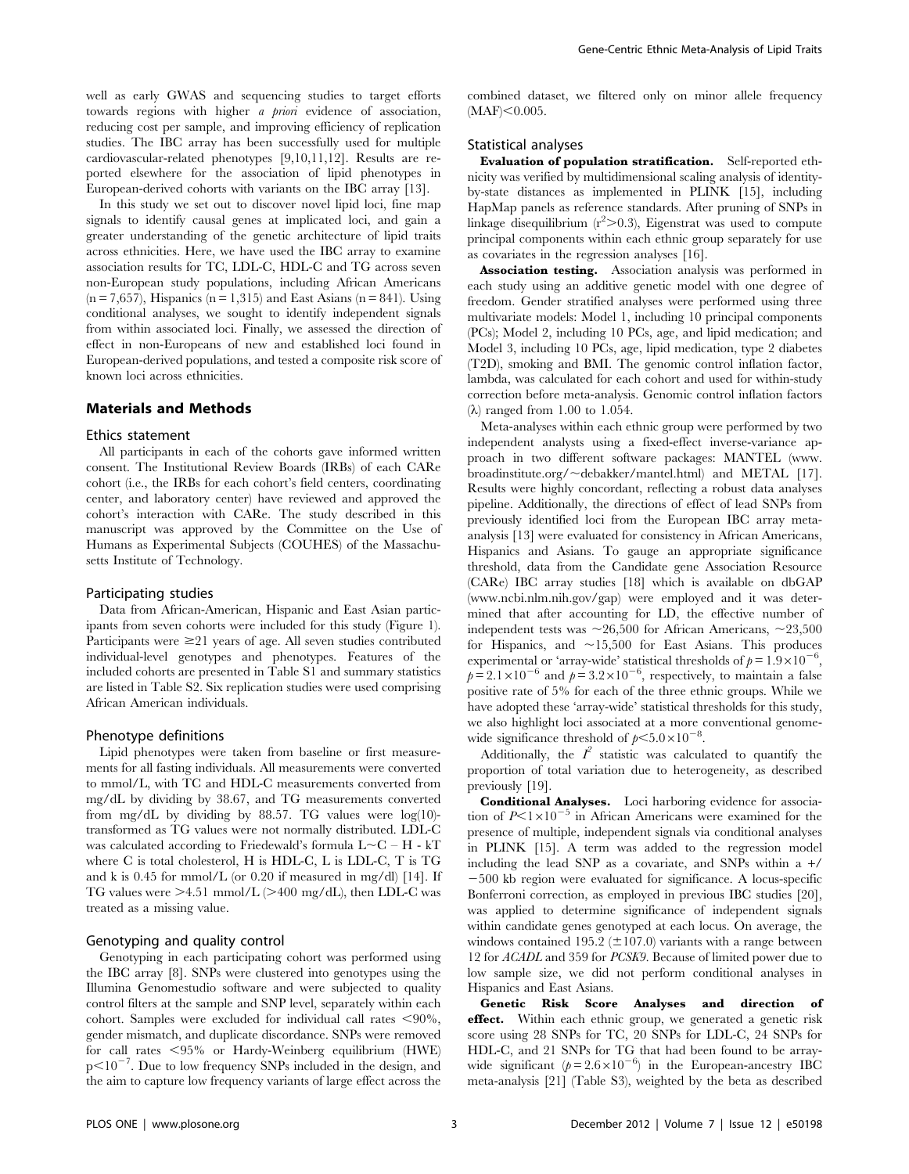well as early GWAS and sequencing studies to target efforts towards regions with higher *a priori* evidence of association, reducing cost per sample, and improving efficiency of replication studies. The IBC array has been successfully used for multiple cardiovascular-related phenotypes [9,10,11,12]. Results are reported elsewhere for the association of lipid phenotypes in European-derived cohorts with variants on the IBC array [13].

In this study we set out to discover novel lipid loci, fine map signals to identify causal genes at implicated loci, and gain a greater understanding of the genetic architecture of lipid traits across ethnicities. Here, we have used the IBC array to examine association results for TC, LDL-C, HDL-C and TG across seven non-European study populations, including African Americans  $(n = 7,657)$ , Hispanics  $(n = 1,315)$  and East Asians  $(n = 841)$ . Using conditional analyses, we sought to identify independent signals from within associated loci. Finally, we assessed the direction of effect in non-Europeans of new and established loci found in European-derived populations, and tested a composite risk score of known loci across ethnicities.

# Materials and Methods

#### Ethics statement

All participants in each of the cohorts gave informed written consent. The Institutional Review Boards (IRBs) of each CARe cohort (i.e., the IRBs for each cohort's field centers, coordinating center, and laboratory center) have reviewed and approved the cohort's interaction with CARe. The study described in this manuscript was approved by the Committee on the Use of Humans as Experimental Subjects (COUHES) of the Massachusetts Institute of Technology.

#### Participating studies

Data from African-American, Hispanic and East Asian participants from seven cohorts were included for this study (Figure 1). Participants were  $\geq 21$  years of age. All seven studies contributed individual-level genotypes and phenotypes. Features of the included cohorts are presented in Table S1 and summary statistics are listed in Table S2. Six replication studies were used comprising African American individuals.

#### Phenotype definitions

Lipid phenotypes were taken from baseline or first measurements for all fasting individuals. All measurements were converted to mmol/L, with TC and HDL-C measurements converted from mg/dL by dividing by 38.67, and TG measurements converted from mg/dL by dividing by 88.57. TG values were log(10) transformed as TG values were not normally distributed. LDL-C was calculated according to Friedewald's formula  $L\text{-}C$  – H - kT where C is total cholesterol, H is HDL-C, L is LDL-C, T is TG and k is  $0.45$  for mmol/L (or  $0.20$  if measured in mg/dl) [14]. If TG values were  $\geq$ 4.51 mmol/L ( $\geq$ 400 mg/dL), then LDL-C was treated as a missing value.

#### Genotyping and quality control

Genotyping in each participating cohort was performed using the IBC array [8]. SNPs were clustered into genotypes using the Illumina Genomestudio software and were subjected to quality control filters at the sample and SNP level, separately within each cohort. Samples were excluded for individual call rates  $\leq 90\%$ , gender mismatch, and duplicate discordance. SNPs were removed for call rates  $<$  95% or Hardy-Weinberg equilibrium (HWE)  $p<10^{-7}$ . Due to low frequency SNPs included in the design, and the aim to capture low frequency variants of large effect across the

combined dataset, we filtered only on minor allele frequency  $(MAF) < 0.005$ .

# Statistical analyses

Evaluation of population stratification. Self-reported ethnicity was verified by multidimensional scaling analysis of identityby-state distances as implemented in PLINK [15], including HapMap panels as reference standards. After pruning of SNPs in linkage disequilibrium  $(r^2>0.3)$ , Eigenstrat was used to compute principal components within each ethnic group separately for use as covariates in the regression analyses [16].

Association testing. Association analysis was performed in each study using an additive genetic model with one degree of freedom. Gender stratified analyses were performed using three multivariate models: Model 1, including 10 principal components (PCs); Model 2, including 10 PCs, age, and lipid medication; and Model 3, including 10 PCs, age, lipid medication, type 2 diabetes (T2D), smoking and BMI. The genomic control inflation factor, lambda, was calculated for each cohort and used for within-study correction before meta-analysis. Genomic control inflation factors  $(\lambda)$  ranged from 1.00 to 1.054.

Meta-analyses within each ethnic group were performed by two independent analysts using a fixed-effect inverse-variance approach in two different software packages: MANTEL (www. broadinstitute.org/ $\sim$ debakker/mantel.html) and METAL [17]. Results were highly concordant, reflecting a robust data analyses pipeline. Additionally, the directions of effect of lead SNPs from previously identified loci from the European IBC array metaanalysis [13] were evaluated for consistency in African Americans, Hispanics and Asians. To gauge an appropriate significance threshold, data from the Candidate gene Association Resource (CARe) IBC array studies [18] which is available on dbGAP (www.ncbi.nlm.nih.gov/gap) were employed and it was determined that after accounting for LD, the effective number of independent tests was  $\sim 26,500$  for African Americans,  $\sim 23,500$ for Hispanics, and  $\sim$ 15,500 for East Asians. This produces experimental or 'array-wide' statistical thresholds of  $p = 1.9 \times 10^{-6}$ ,  $p=2.1\times10^{-6}$  and  $p=3.2\times10^{-6}$ , respectively, to maintain a false positive rate of 5% for each of the three ethnic groups. While we have adopted these 'array-wide' statistical thresholds for this study, we also highlight loci associated at a more conventional genomewide significance threshold of  $p<5.0\times10^{-8}$ .

Additionally, the  $I^2$  statistic was calculated to quantify the proportion of total variation due to heterogeneity, as described previously [19].

Conditional Analyses. Loci harboring evidence for association of  $P<1\times10^{-5}$  in African Americans were examined for the presence of multiple, independent signals via conditional analyses in PLINK [15]. A term was added to the regression model including the lead SNP as a covariate, and SNPs within a  $+/$  $-500$  kb region were evaluated for significance. A locus-specific Bonferroni correction, as employed in previous IBC studies [20], was applied to determine significance of independent signals within candidate genes genotyped at each locus. On average, the windows contained 195.2 ( $\pm$ 107.0) variants with a range between 12 for ACADL and 359 for PCSK9. Because of limited power due to low sample size, we did not perform conditional analyses in Hispanics and East Asians.

Genetic Risk Score Analyses and direction of effect. Within each ethnic group, we generated a genetic risk score using 28 SNPs for TC, 20 SNPs for LDL-C, 24 SNPs for HDL-C, and 21 SNPs for TG that had been found to be arraywide significant ( $p = 2.6 \times 10^{-6}$ ) in the European-ancestry IBC meta-analysis [21] (Table S3), weighted by the beta as described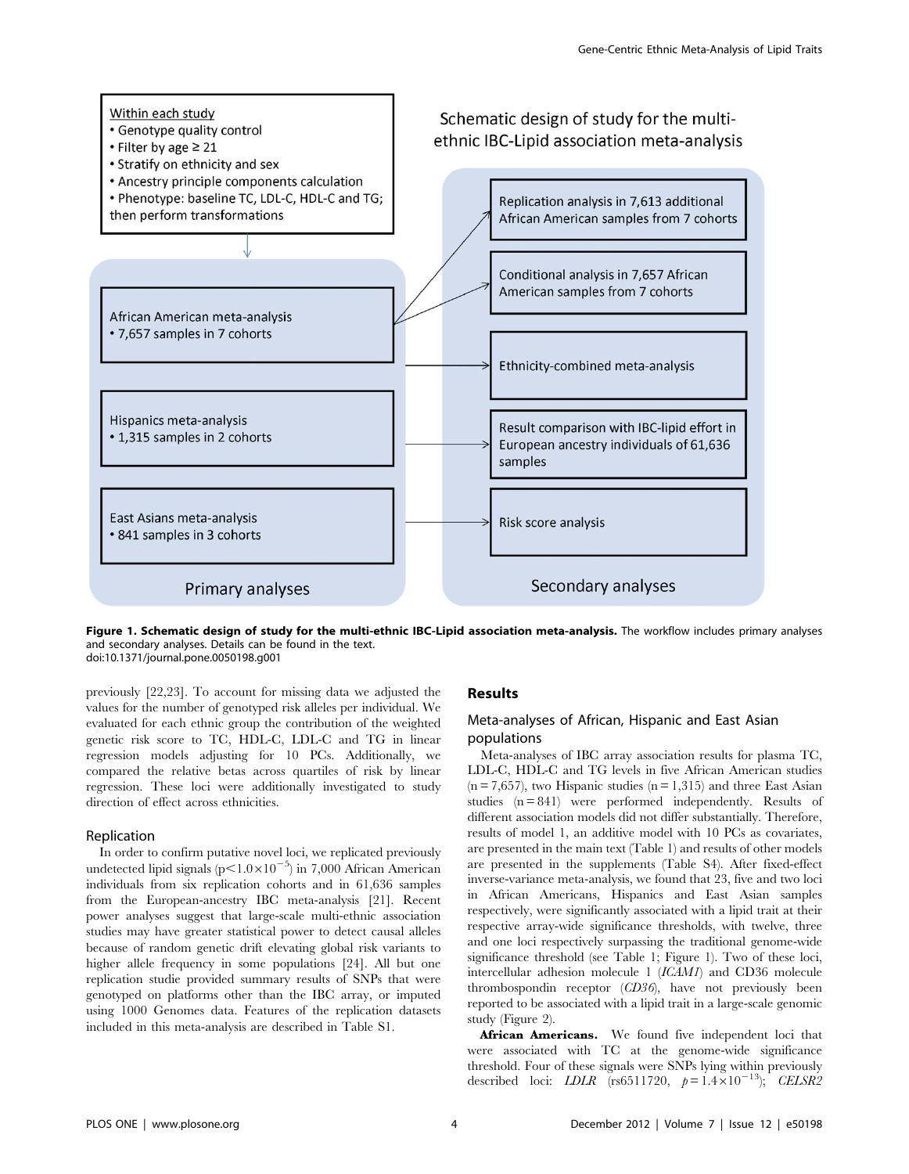

Figure 1. Schematic design of study for the multi-ethnic IBC-Lipid association meta-analysis. The workflow includes primary analyses and secondary analyses. Details can be found in the text. doi:10.1371/journal.pone.0050198.g001

previously [22,23]. To account for missing data we adjusted the values for the number of genotyped risk alleles per individual. We evaluated for each ethnic group the contribution of the weighted genetic risk score to TC, HDL-C, LDL-C and TG in linear regression models adjusting for 10 PCs. Additionally, we compared the relative betas across quartiles of risk by linear regression. These loci were additionally investigated to study direction of effect across ethnicities.

# Replication

In order to confirm putative novel loci, we replicated previously undetected lipid signals ( $p<1.0\times10^{-5}$ ) in 7,000 African American individuals from six replication cohorts and in 61,636 samples from the European-ancestry IBC meta-analysis [21]. Recent power analyses suggest that large-scale multi-ethnic association studies may have greater statistical power to detect causal alleles because of random genetic drift elevating global risk variants to higher allele frequency in some populations [24]. All but one replication studie provided summary results of SNPs that were genotyped on platforms other than the IBC array, or imputed using 1000 Genomes data. Features of the replication datasets included in this meta-analysis are described in Table S1.

### Results

# Meta-analyses of African, Hispanic and East Asian populations

Meta-analyses of IBC array association results for plasma TC, LDL-C, HDL-C and TG levels in five African American studies  $(n = 7,657)$ , two Hispanic studies  $(n = 1,315)$  and three East Asian studies  $(n = 841)$  were performed independently. Results of different association models did not differ substantially. Therefore, results of model 1, an additive model with 10 PCs as covariates, are presented in the main text (Table 1) and results of other models are presented in the supplements (Table S4). After fixed-effect inverse-variance meta-analysis, we found that 23, five and two loci in African Americans, Hispanics and East Asian samples respectively, were significantly associated with a lipid trait at their respective array-wide significance thresholds, with twelve, three and one loci respectively surpassing the traditional genome-wide significance threshold (see Table 1; Figure 1). Two of these loci, intercellular adhesion molecule 1 (ICAM1) and CD36 molecule thrombospondin receptor (CD36), have not previously been reported to be associated with a lipid trait in a large-scale genomic study (Figure 2).

African Americans. We found five independent loci that were associated with TC at the genome-wide significance threshold. Four of these signals were SNPs lying within previously described loci: *LDLR* (rs6511720,  $p = 1.4 \times 10^{-13}$ ); CELSR2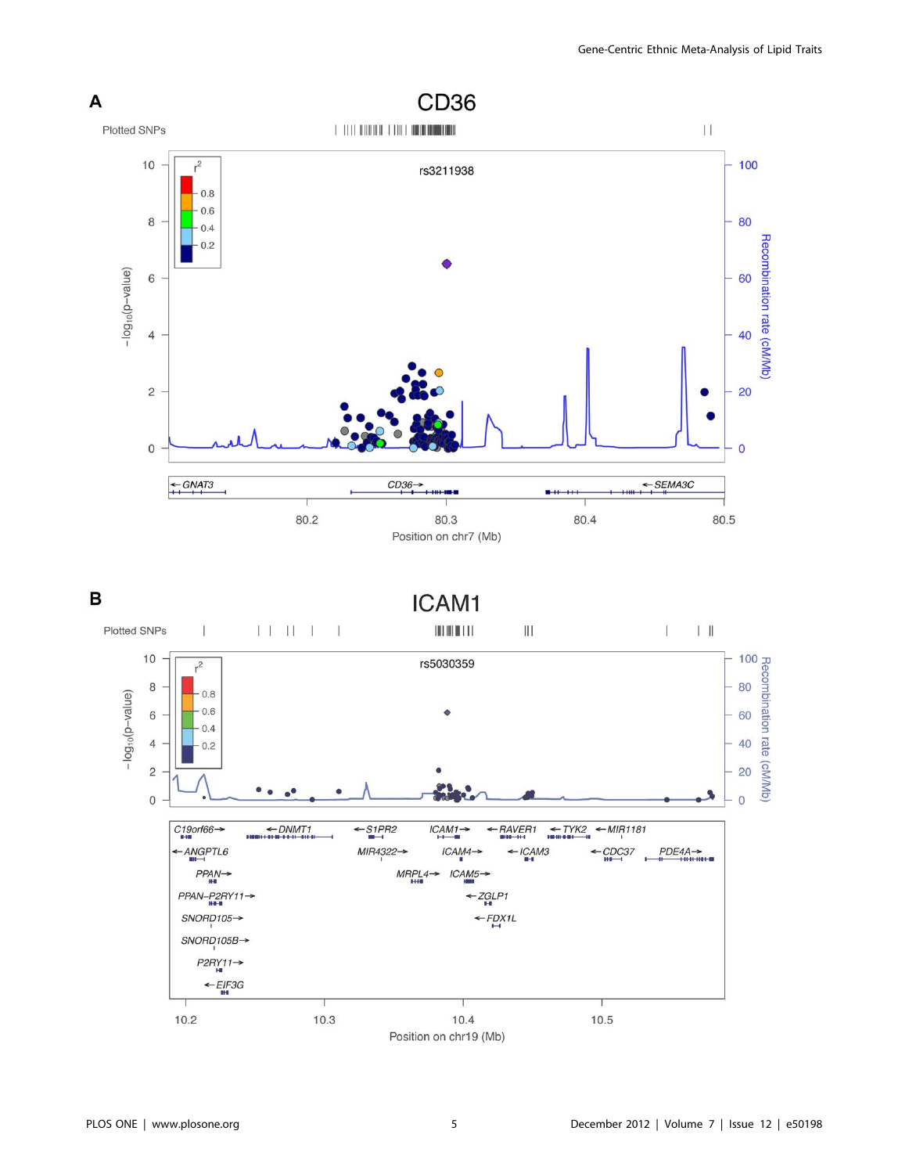



Position on chr19 (Mb)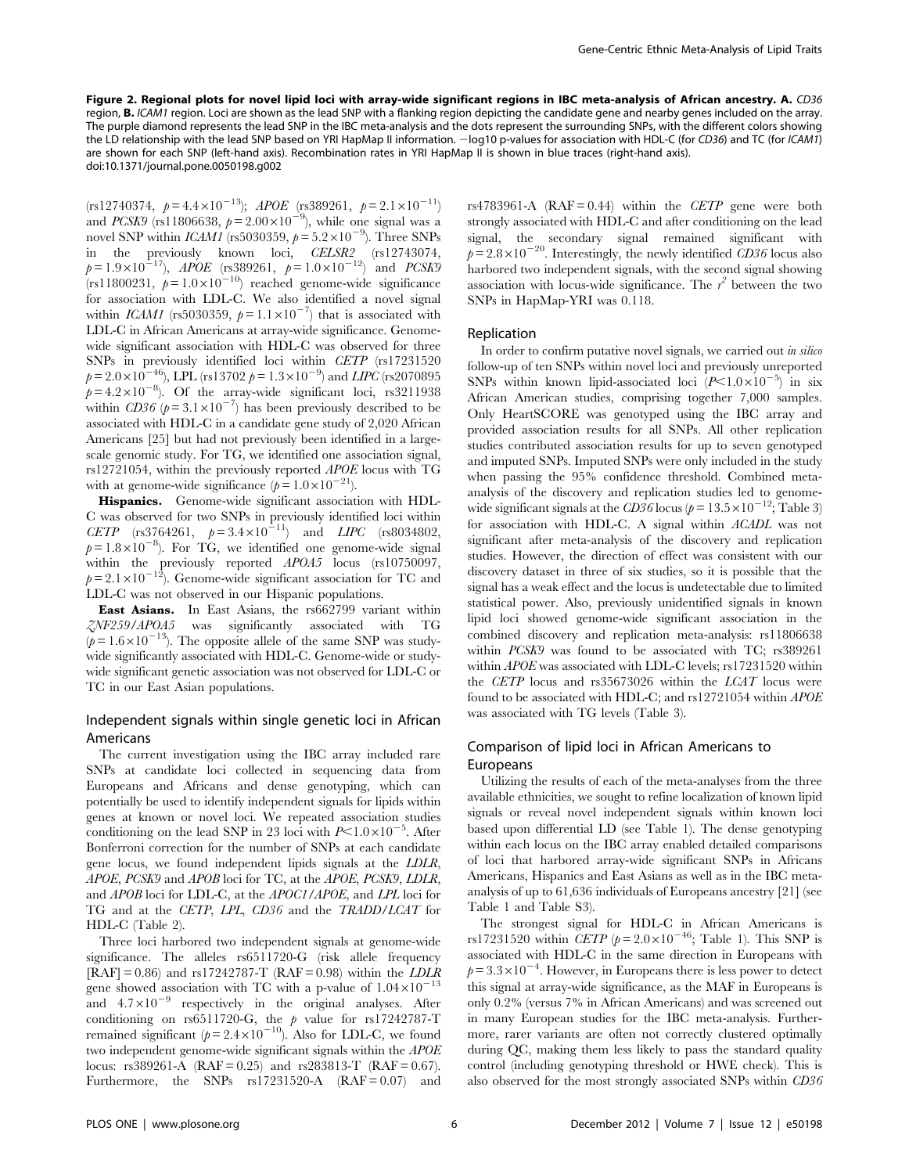Figure 2. Regional plots for novel lipid loci with array-wide significant regions in IBC meta-analysis of African ancestry. A. CD36 region, **B.** ICAM1 region. Loci are shown as the lead SNP with a flanking region depicting the candidate gene and nearby genes included on the array. The purple diamond represents the lead SNP in the IBC meta-analysis and the dots represent the surrounding SNPs, with the different colors showing the LD relationship with the lead SNP based on YRI HapMap II information. - log10 p-values for association with HDL-C (for CD36) and TC (for ICAM1) are shown for each SNP (left-hand axis). Recombination rates in YRI HapMap II is shown in blue traces (right-hand axis). doi:10.1371/journal.pone.0050198.g002

 $(rs12740374, p=4.4\times10^{-13})$ ; APOE  $(rs389261, p=2.1\times10^{-11})$ and *PCSK9* (rs11806638,  $p = 2.00 \times 10^{-9}$ ), while one signal was a novel SNP within *ICAM1* (rs5030359,  $p = 5.2 \times 10^{-9}$ ). Three SNPs in the previously known loci, *CELSR2* (rs12743074,<br>  $p=1.9\times10^{-17}$ ), *APOE* (rs389261,  $p=1.0\times10^{-12}$ ) and *PCSK9* (rs11800231,  $p = 1.0 \times 10^{-10}$ ) reached genome-wide significance for association with LDL-C. We also identified a novel signal within *ICAM1* (rs5030359,  $p = 1.1 \times 10^{-7}$ ) that is associated with LDL-C in African Americans at array-wide significance. Genomewide significant association with HDL-C was observed for three SNPs in previously identified loci within CETP (rs17231520  $p = 2.0 \times 10^{-46}$ ), LPL (rs13702  $p = 1.3 \times 10^{-9}$ ) and LIPC (rs2070895  $p=4.2\times10^{-8}$ . Of the array-wide significant loci, rs3211938 within  $CD36(p=3.1\times10^{-7})$  has been previously described to be associated with HDL-C in a candidate gene study of 2,020 African Americans [25] but had not previously been identified in a largescale genomic study. For TG, we identified one association signal, rs12721054, within the previously reported APOE locus with TG with at genome-wide significance  $(p=1.0\times10^{-21})$ .

Hispanics. Genome-wide significant association with HDL-C was observed for two SNPs in previously identified loci within CETP (rs3764261,  $p = 3.4 \times 10^{-11}$ ) and LIPC (rs8034802,  $p = 1.8 \times 10^{-8}$ ). For TG, we identified one genome-wide signal within the previously reported APOA5 locus (rs10750097,  $p = 2.1 \times 10^{-12}$ . Genome-wide significant association for TC and LDL-C was not observed in our Hispanic populations.

East Asians. In East Asians, the rs662799 variant within ZNF259/APOA5 was significantly associated with TG  $(p=1.6\times10^{-13})$ . The opposite allele of the same SNP was studywide significantly associated with HDL-C. Genome-wide or studywide significant genetic association was not observed for LDL-C or TC in our East Asian populations.

# Independent signals within single genetic loci in African Americans

The current investigation using the IBC array included rare SNPs at candidate loci collected in sequencing data from Europeans and Africans and dense genotyping, which can potentially be used to identify independent signals for lipids within genes at known or novel loci. We repeated association studies conditioning on the lead SNP in 23 loci with  $P<1.0\times10^{-5}$ . After Bonferroni correction for the number of SNPs at each candidate gene locus, we found independent lipids signals at the LDLR, APOE, PCSK9 and APOB loci for TC, at the APOE, PCSK9, LDLR, and APOB loci for LDL-C, at the APOC1/APOE, and LPL loci for TG and at the CETP, LPL, CD36 and the TRADD/LCAT for HDL-C (Table 2).

Three loci harbored two independent signals at genome-wide significance. The alleles rs6511720-G (risk allele frequency  $[RAF] = 0.86$ ) and rs17242787-T ( $RAF = 0.98$ ) within the *LDLR* gene showed association with TC with a p-value of  $1.04 \times 10^{-13}$ and  $4.7\times10^{-9}$  respectively in the original analyses. After conditioning on rs6511720-G, the p value for rs17242787-T remained significant ( $p = 2.4 \times 10^{-10}$ ). Also for LDL-C, we found two independent genome-wide significant signals within the APOE locus: rs389261-A  $(RAF = 0.25)$  and rs283813-T  $(RAF = 0.67)$ . Furthermore, the SNPs  $rs17231520-A$   $(RAF = 0.07)$  and rs4783961-A ( $RAF = 0.44$ ) within the CETP gene were both strongly associated with HDL-C and after conditioning on the lead signal, the secondary signal remained significant with  $p= 2.8\times10^{-20}$ . Interestingly, the newly identified CD36 locus also harbored two independent signals, with the second signal showing association with locus-wide significance. The  $r^2$  between the two SNPs in HapMap-YRI was 0.118.

#### Replication

In order to confirm putative novel signals, we carried out *in silico* follow-up of ten SNPs within novel loci and previously unreported SNPs within known lipid-associated loci  $(P<1.0\times10^{-5})$  in six African American studies, comprising together 7,000 samples. Only HeartSCORE was genotyped using the IBC array and provided association results for all SNPs. All other replication studies contributed association results for up to seven genotyped and imputed SNPs. Imputed SNPs were only included in the study when passing the 95% confidence threshold. Combined metaanalysis of the discovery and replication studies led to genomewide significant signals at the CD36 locus ( $p = 13.5 \times 10^{-12}$ ; Table 3) for association with HDL-C. A signal within ACADL was not significant after meta-analysis of the discovery and replication studies. However, the direction of effect was consistent with our discovery dataset in three of six studies, so it is possible that the signal has a weak effect and the locus is undetectable due to limited statistical power. Also, previously unidentified signals in known lipid loci showed genome-wide significant association in the combined discovery and replication meta-analysis: rs11806638 within PCSK9 was found to be associated with TC; rs389261 within APOE was associated with LDL-C levels; rs17231520 within the CETP locus and rs35673026 within the LCAT locus were found to be associated with HDL-C; and rs12721054 within APOE was associated with TG levels (Table 3).

# Comparison of lipid loci in African Americans to Europeans

Utilizing the results of each of the meta-analyses from the three available ethnicities, we sought to refine localization of known lipid signals or reveal novel independent signals within known loci based upon differential LD (see Table 1). The dense genotyping within each locus on the IBC array enabled detailed comparisons of loci that harbored array-wide significant SNPs in Africans Americans, Hispanics and East Asians as well as in the IBC metaanalysis of up to 61,636 individuals of Europeans ancestry [21] (see Table 1 and Table S3).

The strongest signal for HDL-C in African Americans is rs17231520 within *CETP* ( $p = 2.0 \times 10^{-46}$ ; Table 1). This SNP is associated with HDL-C in the same direction in Europeans with  $p=3.3\times10^{-4}$ . However, in Europeans there is less power to detect this signal at array-wide significance, as the MAF in Europeans is only 0.2% (versus 7% in African Americans) and was screened out in many European studies for the IBC meta-analysis. Furthermore, rarer variants are often not correctly clustered optimally during QC, making them less likely to pass the standard quality control (including genotyping threshold or HWE check). This is also observed for the most strongly associated SNPs within CD36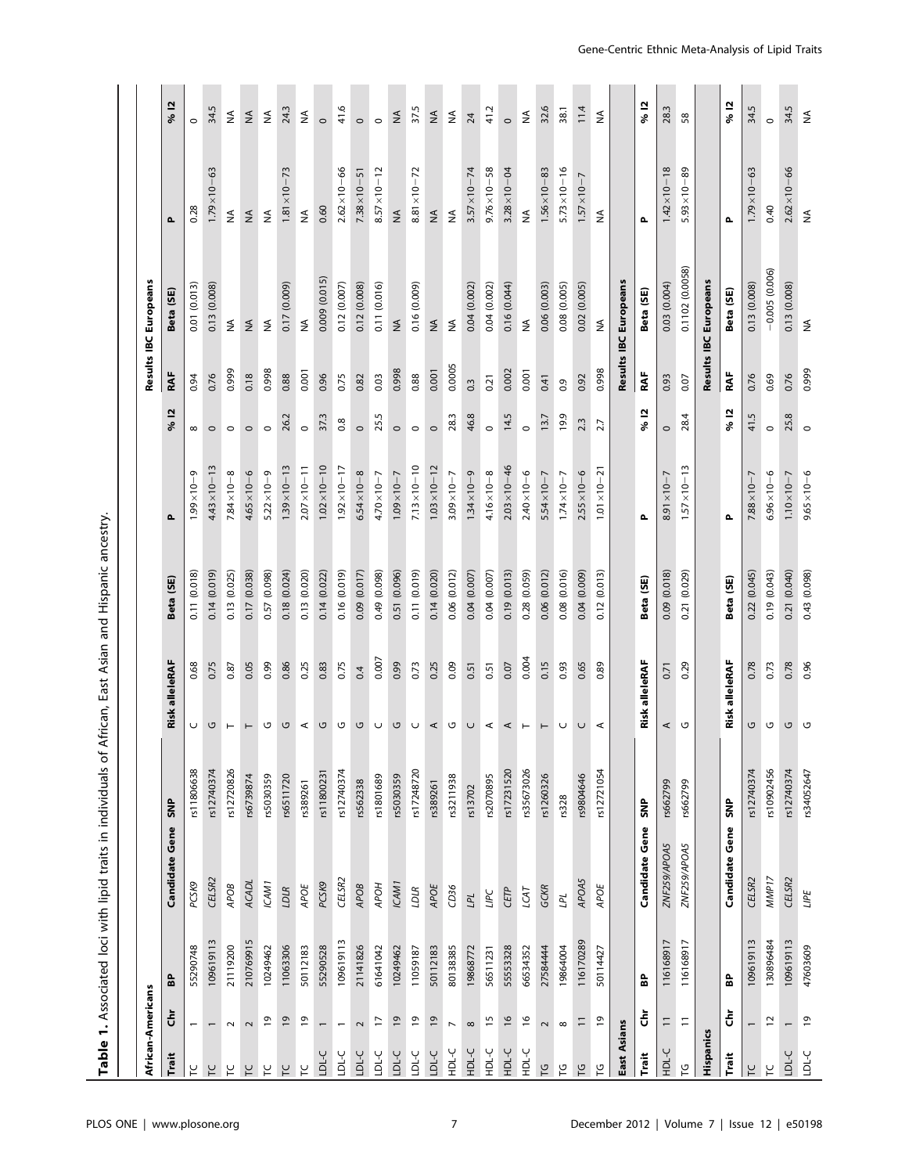Table 1. Associated loci with lipid traits in individuals of African, East Asian and Hispanic ancestry. Table 1. Associated loci with lipid traits in individuals of African, East Asian and Hispanic ancestry.

| African-Americans       |                          |           |                       |            |          |                |                 |                       |                |                  | Results IBC Europeans |                       |                                         |
|-------------------------|--------------------------|-----------|-----------------------|------------|----------|----------------|-----------------|-----------------------|----------------|------------------|-----------------------|-----------------------|-----------------------------------------|
| Trait                   | ຣ້                       | 웁         | <b>Candidate Gene</b> | <b>SNP</b> |          | Risk alleleRAF | Beta (SE)       | Δ.                    | <u>이</u><br>ಸಿ | RAF              | Beta (SE)             | Δ.                    | % 12                                    |
| ٢                       | $\overline{ }$           | 55290748  | PCSK9                 | rs11806638 | U        | 0.68           | 0.11 (0.018)    | $1.99 \times 10 - 9$  | $\infty$       | 0.94             | 0.01 (0.013)          | 0.28                  | $\circ$                                 |
| $\overline{L}$          | $\overline{\phantom{0}}$ | 109619113 | CELSR2                | rs12740374 | ပ        | 0.75           | 0.14 (0.019)    | $4.43 \times 10 - 13$ | $\circ$        | 0.76             | 0.13 (0.008)          | $1.79 \times 10 - 63$ | 34.5                                    |
| F                       | $\sim$                   | 21119200  | APOB                  | rs12720826 | $\vdash$ | 0.87           | 0.13 (0.025)    | $7.84 \times 10 - 8$  | $\circ$        | 0.999            | $\lessgtr$            | $\lessgtr$            | $\stackrel{\triangle}{\ge}$             |
| F                       | $\sim$                   | 210769915 | ACADL                 | rs6739874  | $\vdash$ | 0.05           | (0.038)<br>0.17 | $4.65 \times 10 - 6$  | $\circ$        | 0.18             | $\lessgtr$            | $\lessgtr$            | $\mathop{\leq}\limits_{\mathop{\bf Z}}$ |
| μ                       | $\overline{6}$           | 10249462  | ICAM1                 | rs5030359  | U        | 0.99           | (0.098)<br>0.57 | $5.22 \times 10 - 9$  | $\circ$        | 0.998            | ₹                     | ₹                     | $\stackrel{\leq}{\geq}$                 |
| $\overline{\mathsf{L}}$ | $\overline{6}$           | 11063306  | LDLR                  | rs6511720  | G        | 0.86           | 0.18(0.024)     | $1.39 \times 10 - 13$ | 26.2           | 0.88             | 0.17 (0.009)          | $1.81 \times 10 - 73$ | 24.3                                    |
| $\overline{L}$          | $\overline{6}$           | 50112183  | APOE                  | rs389261   | $\prec$  | 0.25           | (0.020)<br>0.13 | $2.07 \times 10 - 11$ | $\circ$        | 0.001            | $\lessgtr$            | $\lessgtr$            | $\stackrel{\triangle}{\ge}$             |
| LDL-C                   | $\overline{\phantom{0}}$ | 55290528  | PCSK9                 | rs11800231 | G        | 0.83           | 0.14 (0.022)    | $1.02 \times 10 - 10$ | 37.3           | 0.96             | 0.009 (0.015)         | 0.60                  | $\circ$                                 |
| <b>LDL-C</b>            | $\overline{ }$           | 109619113 | CELSR2                | rs12740374 | U        | 0.75           | (0.019)<br>0.16 | $1.92 \times 10 - 17$ | 0.8            | 0.75             | 0.12 (0.007)          | $2.62 \times 10 - 66$ | 41.6                                    |
| LDL-C                   | $\sim$                   | 21141826  | APOB                  | rs562338   | G        | 0.4            | 0.09 (0.017)    | $6.54 \times 10 - 8$  | $\circ$        | 0.82             | 0.12 (0.008)          | $7.38 \times 10 - 51$ | $\circ$                                 |
| <b>LDL-C</b>            | F                        | 61641042  | HOdy                  | \$1801689  | $\cup$   | 0.007          | 0.49 (0.098)    | $4.70 \times 10 - 7$  | 25.5           | 0.03             | 0.11 (0.016)          | $8.57 \times 10 - 12$ | $\circ$                                 |
| LDL-C                   | $\overline{6}$           | 10249462  | ICAM1                 | rs5030359  | ں        | 0.99           | 0.51 (0.096)    | $1.09 \times 10 - 7$  | $\circ$        | 0.998            | $\lessgtr$            | $\lessgtr$            | $\stackrel{\leq}{\geq}$                 |
| <b>LDL-C</b>            | $\overline{\mathsf{o}}$  | 11059187  | LDLR                  | rs17248720 | $\cup$   | 0.73           | 0.11 (0.019)    | $7.13 \times 10 - 10$ | $\circ$        | 0.88             | 0.16 (0.009)          | $8.81 \times 10 - 72$ | 37.5                                    |
| LDL-C                   | $\overline{6}$           | 50112183  | APOE                  | rs389261   | ⋖        | 0.25           | 0.14 (0.020)    | $1.03 \times 10 - 12$ | $\circ$        | 0.001            | $\lessgtr$            | $\lessgtr$            | ≨                                       |
| HDL-C                   | $\overline{ }$           | 80138385  | CD36                  | \$211938   | U        | 0.09           | 0.06 (0.012)    | $3.09 \times 10 - 7$  | 28.3           | 0.0005           | $\lessgtr$            | $\lessgtr$            | $\stackrel{\triangle}{\ge}$             |
| HDL-C                   | $\infty$                 | 19868772  | $LPL$                 | rs13702    | $\cup$   | 0.51           | 0.04 (0.007)    | $1.34 \times 10 - 9$  | 46.8           | $0.\overline{3}$ | 0.04 (0.002)          | $3.57 \times 10 - 74$ | 24                                      |
| HDL-C                   | $\overline{15}$          | 56511231  | <b>TIPC</b>           | s2070895   | $\prec$  | 0.51           | 0.04 (0.007)    | $4.16 \times 10 - 8$  | $\circ$        | 0.21             | 0.04 (0.002)          | $9.76 \times 10 - 58$ | 41.2                                    |
| HDL-C                   | $\frac{6}{2}$            | 55553328  | CETP                  | rs17231520 | ⋖        | 0.07           | 0.19 (0.013)    | $2.03 \times 10 - 46$ | 14.5           | 0.002            | 0.16 (0.044)          | $3.28 \times 10 - 04$ | $\circ$                                 |
| HDL-C                   | $\frac{6}{2}$            | 66534352  | LCAT                  | rs35673026 | $\vdash$ | 0.004          | 0.28 (0.059)    | $2.40 \times 10 - 6$  | $\circ$        | 0.001            | $\lessgtr$            | $\lessgtr$            | $\stackrel{\triangle}{\geq}$            |
| $\overline{C}$          | $\sim$                   | 27584444  | GCKR                  | rs1260326  | $\vdash$ | 0.15           | 0.06 (0.012)    | $5.54 \times 10 - 7$  | 13.7           | 0.41             | 0.06 (0.003)          | $1.56 \times 10 - 83$ | 32.6                                    |
| ပြ                      | $\infty$                 | 19864004  | ΓPL                   | rs328      | U        | 0.93           | 0.08(0.016)     | $1.74 \times 10 - 7$  | 19.9           | 0.9              | 0.08 (0.005)          | $5.73 \times 10 - 16$ | 38.1                                    |
| ဥ                       | $\equiv$                 | 116170289 | APOA5                 | rs9804646  | U        | 0.65           | 0.04 (0.009)    | $2.55 \times 10 - 6$  | 2.3            | 0.92             | 0.02 (0.005)          | $1.57 \times 10 - 7$  | 11.4                                    |
| ပို                     | e,                       | 50114427  | APOE                  | rs12721054 | ⋖        | 0.89           | 0.12 (0.013)    | $1.01 \times 10 - 21$ | 27             | 0.998            | $\lessgtr$            | ₹                     | $\stackrel{\triangle}{\geq}$            |
| East Asians             |                          |           |                       |            |          |                |                 |                       |                |                  | Results IBC Europeans |                       |                                         |
| Trait                   | ຮ້                       | 웁         | Candidate Gene        | SNP        |          | Risk alleleRAF | Beta (SE)       | Δ.                    | 으<br>S,        | RAF              | Beta (SE)             | Δ.                    | % 12                                    |
| HDL-C                   | $\equiv$                 | 116168917 | ZNF259/APOA5          | rs662799   | ⋖        | 0.71           | 0.09(0.018)     | $8.91 \times 10 - 7$  | $\circ$        | 0.93             | 0.03 (0.004)          | $1.42 \times 10 - 18$ | 28.3                                    |
| ပ္                      | Ξ                        | 116168917 | ZNF259/APOA5          | rs662799   | U        | 0.29           | 0.21 (0.029)    | $1.57 \times 10 - 13$ | 28.4           | 0.07             | 0.1102 (0.0058)       | $5.93 \times 10 - 89$ | 58                                      |
| Hispanics               |                          |           |                       |            |          |                |                 |                       |                |                  | Results IBC Europeans |                       |                                         |
| Trait                   | ຮ້                       | 읎         | Candidate Gene        | SNP        |          | Risk alleleRAF | Beta (SE)       | Δ.                    | ≌<br>S,        | RAF              | Beta (SE)             | Δ                     | % 12                                    |
| ٢                       | $\overline{a}$           | 109619113 | CELSR2                | rs12740374 | G        | 0.78           | 0.22 (0.045)    | $7.88 \times 10 - 7$  | 41.5           | 0.76             | 0.13 (0.008)          | $1.79 \times 10 - 63$ | 34.5                                    |
| $\overline{r}$          | $\overline{\phantom{a}}$ | 130896484 | MMP17                 | rs10902456 | G        | 0.73           | 0.19 (0.043)    | $6.96 \times 10 - 6$  | $\circ$        | 0.69             | $-0.005(0.006)$       | 0.40                  | $\circ$                                 |
| <b>LDL-C</b>            | $\overline{\phantom{0}}$ | 109619113 | CELSR2                | rs12740374 | G        | 0.78           | 0.21 (0.040)    | $1.10 \times 10 - 7$  | 25.8           | 0.76             | 0.13 (0.008)          | $2.62 \times 10 - 66$ | 34.5                                    |
| <b>DL-C</b>             | <u>وا</u>                | 47603609  | <b>LIPE</b>           | rs34052647 | U        | 0.96           | 0.43 (0.098)    | $9.65 \times 10 - 6$  | $\circ$        | 0.999            | ≸                     | $\lessgtr$            | $\stackrel{\triangle}{\geq}$            |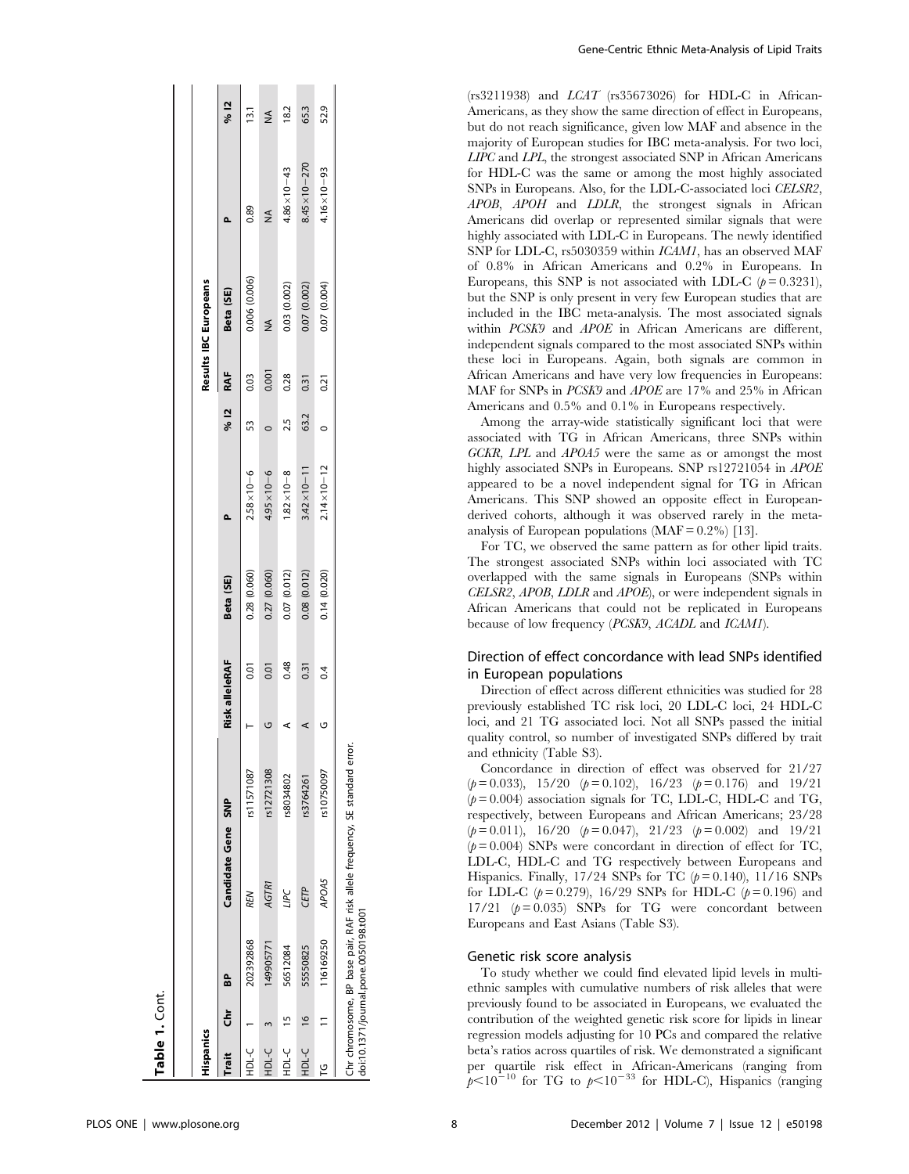| Hispanics  |           |                                       |                                                                             |            |                |                |              |                         |      |       | Results IBC Europeans |                        |      |
|------------|-----------|---------------------------------------|-----------------------------------------------------------------------------|------------|----------------|----------------|--------------|-------------------------|------|-------|-----------------------|------------------------|------|
| Trait      | Chr<br>BP |                                       | Candidate Gene SNP                                                          |            | Risk alleleRAF |                | Beta (SE)    |                         | % 12 | RAF   | Beta (SE)             |                        | % 12 |
| しこ         |           | 202392868                             | REN                                                                         | rs11571087 |                | $\overline{0}$ | 0.28 (0.060) | $2.58 \times 10 - 6$    | 53   | 0.03  | 0.006 (0.006)         | 0.89                   | 13.1 |
| -C<br>FL-C |           | 149905771                             | AGTR1                                                                       | rs12721308 | ヮ              | 0.01           | 0.27(0.060)  | $4.95 \times 10 - 6$    |      | 0.001 | ≸                     | ≸                      | ≨    |
| HDL-C 15   |           | 56512084                              | LIPC                                                                        | rs8034802  |                | 0.48           | 0.07 (0.012) | $1.82 \times 10 - 8$    | 2.5  | 0.28  | 0.03 (0.002)          | $4.86 \times 10 - 43$  | 18.2 |
| HDL-C 16   |           | 55550825                              | CETP                                                                        | rs3764261  |                | 0.31           | 0.08(0.012)  | $3.42 \times 10 - 11$   | 63.2 | 0.31  | 0.07 (0.002)          | $8.45 \times 10 - 270$ | 65.3 |
| ۲G         |           | 11 16169250                           | <b>APOA5</b>                                                                | rs10750097 | ט<br>          | 0.4            | 0.14(0.020)  | $2.14 \times 10 - 12$ 0 |      | 0.21  | 0.07 (0.004)          | $4.16 \times 10 - 93$  | 52.9 |
|            |           | doi:10.1371/journal.pone.0050198.t001 | Chr chromosome, BP base pair, RAF risk allele frequency, SE standard error. |            |                |                |              |                         |      |       |                       |                        |      |

Gene-Centric Ethnic Meta-Analysis of Lipid Traits

(rs3211938) and LCAT (rs35673026) for HDL-C in African-Americans, as they show the same direction of effect in Europeans, but do not reach significance, given low MAF and absence in the majority of European studies for IBC meta-analysis. For two loci, LIPC and LPL, the strongest associated SNP in African Americans for HDL-C was the same or among the most highly associated SNPs in Europeans. Also, for the LDL-C-associated loci CELSR2, APOB, APOH and LDLR, the strongest signals in African Americans did overlap or represented similar signals that were highly associated with LDL-C in Europeans. The newly identified SNP for LDL-C, rs5030359 within ICAM1, has an observed MAF of 0.8% in African Americans and 0.2% in Europeans. In Europeans, this SNP is not associated with LDL-C  $(p = 0.3231)$ , but the SNP is only present in very few European studies that are included in the IBC meta-analysis. The most associated signals within PCSK9 and APOE in African Americans are different, independent signals compared to the most associated SNPs within these loci in Europeans. Again, both signals are common in African Americans and have very low frequencies in Europeans: MAF for SNPs in PCSK9 and APOE are 17% and 25% in African Americans and 0.5% and 0.1% in Europeans respectively.

Among the array-wide statistically significant loci that were associated with TG in African Americans, three SNPs within GCKR, LPL and APOA5 were the same as or amongst the most highly associated SNPs in Europeans. SNP rs12721054 in APOE appeared to be a novel independent signal for TG in African Americans. This SNP showed an opposite effect in Europeanderived cohorts, although it was observed rarely in the metaanalysis of European populations  $(MAF = 0.2\%)$  [13].

For TC, we observed the same pattern as for other lipid traits. The strongest associated SNPs within loci associated with TC overlapped with the same signals in Europeans (SNPs within CELSR2, APOB, LDLR and APOE), or were independent signals in African Americans that could not be replicated in Europeans because of low frequency (PCSK9, ACADL and ICAM1).

# Direction of effect concordance with lead SNPs identified in European populations

Direction of effect across different ethnicities was studied for 28 previously established TC risk loci, 20 LDL-C loci, 24 HDL-C loci, and 21 TG associated loci. Not all SNPs passed the initial quality control, so number of investigated SNPs differed by trait and ethnicity (Table S3).

Concordance in direction of effect was observed for 21/27  $(p= 0.033)$ , 15/20  $(p= 0.102)$ , 16/23  $(p= 0.176)$  and 19/21  $(p= 0.004)$  association signals for TC, LDL-C, HDL-C and TG, respectively, between Europeans and African Americans; 23/28  $(p= 0.011)$ , 16/20  $(p= 0.047)$ , 21/23  $(p= 0.002)$  and 19/21  $(p= 0.004)$  SNPs were concordant in direction of effect for TC, LDL-C, HDL-C and TG respectively between Europeans and Hispanics. Finally,  $17/24$  SNPs for TC ( $p = 0.140$ ),  $11/16$  SNPs for LDL-C ( $p = 0.279$ ), 16/29 SNPs for HDL-C ( $p = 0.196$ ) and 17/21  $(p= 0.035)$  SNPs for TG were concordant between Europeans and East Asians (Table S3).

# Genetic risk score analysis

To study whether we could find elevated lipid levels in multiethnic samples with cumulative numbers of risk alleles that were previously found to be associated in Europeans, we evaluated the contribution of the weighted genetic risk score for lipids in linear regression models adjusting for 10 PCs and compared the relative beta's ratios across quartiles of risk. We demonstrated a significant per quartile risk effect in African-Americans (ranging from  $p<10^{-10}$  for TG to  $p<10^{-33}$  for HDL-C), Hispanics (ranging

Table 1. Cont.

Table 1. Cont.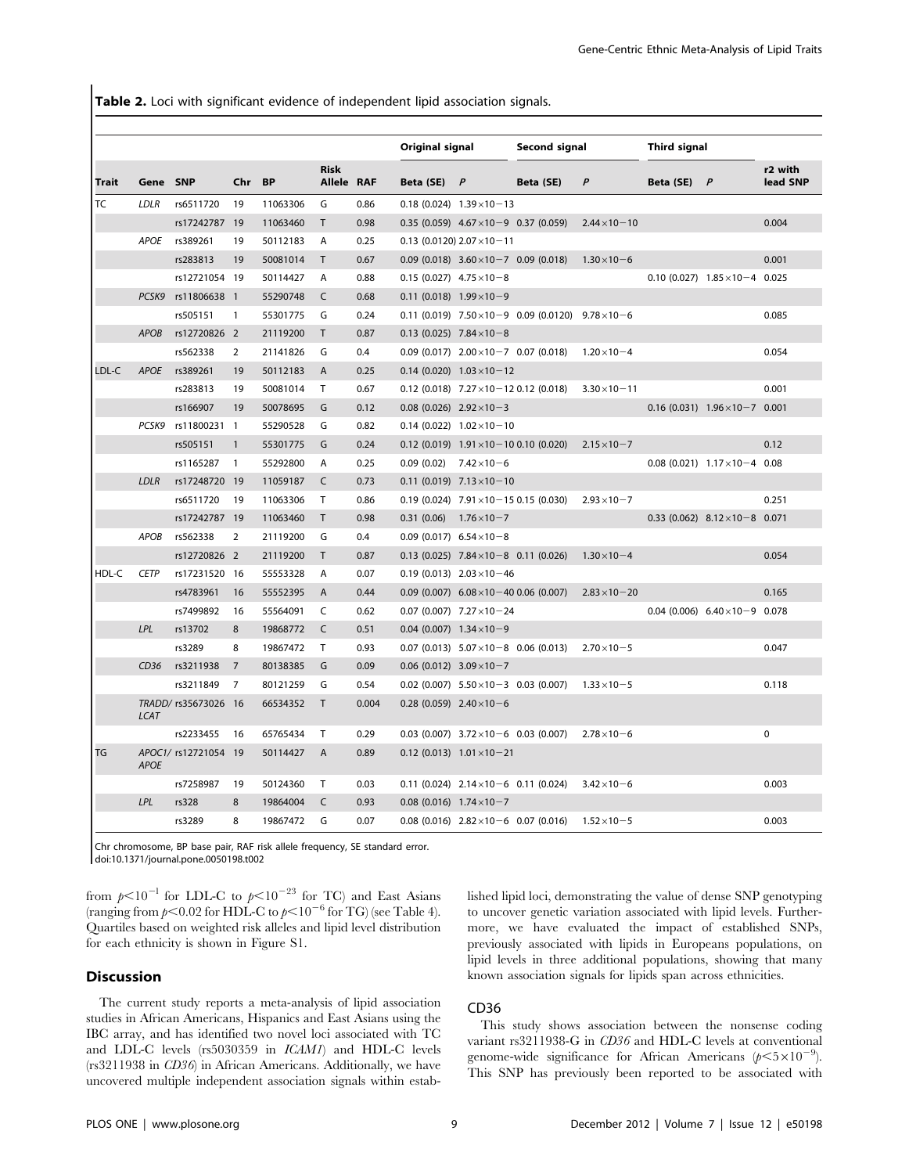Table 2. Loci with significant evidence of independent lipid association signals.

|              |             |                      |                |          |                           |       | Original signal                     |                                                    | Second signal                                                        |                       | Third signal  |                                           |                     |
|--------------|-------------|----------------------|----------------|----------|---------------------------|-------|-------------------------------------|----------------------------------------------------|----------------------------------------------------------------------|-----------------------|---------------|-------------------------------------------|---------------------|
| <b>Trait</b> | Gene SNP    |                      | Chr BP         |          | <b>Risk</b><br>Allele RAF |       | Beta (SE) $P$                       |                                                    | Beta (SE)                                                            | $\mathsf{P}$          | Beta (SE) $P$ |                                           | r2 with<br>lead SNP |
| TC           | LDLR        | rs6511720            | 19             | 11063306 | G                         | 0.86  |                                     | $0.18(0.024)$ 1.39 $\times$ 10 - 13                |                                                                      |                       |               |                                           |                     |
|              |             | rs17242787 19        |                | 11063460 | $\mathsf{T}$              | 0.98  |                                     | $0.35(0.059)$ 4.67 $\times$ 10-9 0.37 (0.059)      |                                                                      | $2.44 \times 10 - 10$ |               |                                           | 0.004               |
|              |             | APOE rs389261        | 19             | 50112183 | A                         | 0.25  |                                     | $0.13$ (0.0120) $2.07 \times 10 - 11$              |                                                                      |                       |               |                                           |                     |
|              |             | rs283813             | 19             | 50081014 | $\mathsf{T}$              | 0.67  |                                     | $0.09$ (0.018) $3.60 \times 10 - 7$ 0.09 (0.018)   |                                                                      | $1.30 \times 10 - 6$  |               |                                           | 0.001               |
|              |             | rs12721054 19        |                | 50114427 | A                         | 0.88  | $0.15(0.027)$ 4.75 $\times$ 10 - 8  |                                                    |                                                                      |                       |               | $0.10$ (0.027) $1.85 \times 10 - 4$ 0.025 |                     |
|              |             | PCSK9 rs11806638 1   |                | 55290748 | C                         | 0.68  | $0.11(0.018)$ 1.99 × 10 - 9         |                                                    |                                                                      |                       |               |                                           |                     |
|              |             | rs505151             | $\mathbf{1}$   | 55301775 | G                         | 0.24  |                                     |                                                    | 0.11 (0.019) $7.50 \times 10 - 9$ 0.09 (0.0120) $9.78 \times 10 - 6$ |                       |               |                                           | 0.085               |
|              | <b>APOB</b> | rs12720826 2         |                | 21119200 | $\mathsf{T}$              | 0.87  | $0.13(0.025)$ 7.84 $\times$ 10 - 8  |                                                    |                                                                      |                       |               |                                           |                     |
|              |             | rs562338             | $\overline{2}$ | 21141826 | G                         | 0.4   |                                     | $0.09$ (0.017) $2.00 \times 10 - 7$ 0.07 (0.018)   |                                                                      | $1.20 \times 10 - 4$  |               |                                           | 0.054               |
| LDL-C        | <b>APOE</b> | rs389261             | 19             | 50112183 | A                         | 0.25  |                                     | $0.14(0.020)$ $1.03 \times 10 - 12$                |                                                                      |                       |               |                                           |                     |
|              |             | rs283813             | 19             | 50081014 | T                         | 0.67  |                                     | $0.12$ (0.018) $7.27 \times 10 - 12$ 0.12 (0.018)  |                                                                      | $3.30 \times 10 - 11$ |               |                                           | 0.001               |
|              |             | rs166907             | 19             | 50078695 | G                         | 0.12  | $0.08$ (0.026) $2.92 \times 10 - 3$ |                                                    |                                                                      |                       |               | $0.16(0.031)$ $1.96 \times 10 - 7$ 0.001  |                     |
|              | PCSK9       | rs11800231 1         |                | 55290528 | G                         | 0.82  |                                     | $0.14(0.022)$ $1.02 \times 10 - 10$                |                                                                      |                       |               |                                           |                     |
|              |             | rs505151             | $\mathbf{1}$   | 55301775 | G                         | 0.24  |                                     | $0.12$ (0.019) $1.91 \times 10 - 10$ 0.10 (0.020)  |                                                                      | $2.15 \times 10 - 7$  |               |                                           | 0.12                |
|              |             | rs1165287            | $\mathbf{1}$   | 55292800 | A                         | 0.25  | 0.09(0.02)                          | $7.42 \times 10 - 6$                               |                                                                      |                       |               | $0.08$ (0.021) $1.17 \times 10 - 4$ 0.08  |                     |
|              | <b>LDLR</b> | rs17248720 19        |                | 11059187 | C                         | 0.73  |                                     | $0.11(0.019)$ $7.13 \times 10 - 10$                |                                                                      |                       |               |                                           |                     |
|              |             | rs6511720            | 19             | 11063306 | T                         | 0.86  |                                     | $0.19(0.024)$ 7.91 $\times$ 10 - 15 0.15 $(0.030)$ |                                                                      | $2.93 \times 10 - 7$  |               |                                           | 0.251               |
|              |             | rs17242787 19        |                | 11063460 | $\mathsf{T}$              | 0.98  | 0.31(0.06)                          | $1.76 \times 10 - 7$                               |                                                                      |                       |               | 0.33 (0.062) $8.12 \times 10 - 8$ 0.071   |                     |
|              | APOB        | rs562338             | 2              | 21119200 | G                         | 0.4   | 0.09 (0.017) $6.54 \times 10 - 8$   |                                                    |                                                                      |                       |               |                                           |                     |
|              |             | rs12720826 2         |                | 21119200 | $\mathsf{T}$              | 0.87  |                                     | $0.13$ (0.025) $7.84 \times 10 - 8$ 0.11 (0.026)   |                                                                      | $1.30 \times 10 - 4$  |               |                                           | 0.054               |
| HDL-C        | <b>CETP</b> | rs17231520 16        |                | 55553328 | A                         | 0.07  |                                     | $0.19(0.013)$ $2.03 \times 10 - 46$                |                                                                      |                       |               |                                           |                     |
|              |             | rs4783961            | 16             | 55552395 | A                         | 0.44  |                                     | $0.09(0.007)$ 6.08 × 10 - 40 0.06 (0.007)          |                                                                      | $2.83 \times 10 - 20$ |               |                                           | 0.165               |
|              |             | rs7499892            | 16             | 55564091 | C                         | 0.62  |                                     | $0.07$ (0.007) $7.27 \times 10 - 24$               |                                                                      |                       |               | $0.04$ (0.006) $6.40 \times 10 - 9$ 0.078 |                     |
|              | LPL         | rs13702              | 8              | 19868772 | $\mathsf{C}$              | 0.51  | $0.04$ (0.007) $1.34 \times 10 - 9$ |                                                    |                                                                      |                       |               |                                           |                     |
|              |             | rs3289               | 8              | 19867472 | $\mathsf{T}$              | 0.93  |                                     |                                                    | $0.07(0.013)$ $5.07 \times 10 - 8$ 0.06 (0.013)                      | $2.70 \times 10 - 5$  |               |                                           | 0.047               |
|              | CD36        | rs3211938            | $\overline{7}$ | 80138385 | G                         | 0.09  | $0.06(0.012)$ 3.09 $\times$ 10 - 7  |                                                    |                                                                      |                       |               |                                           |                     |
|              |             | rs3211849            | $\overline{7}$ | 80121259 | G                         | 0.54  |                                     | $0.02$ (0.007) $5.50 \times 10 - 3$ 0.03 (0.007)   |                                                                      | $1.33 \times 10 - 5$  |               |                                           | 0.118               |
|              | <b>LCAT</b> | TRADD/ rs35673026 16 |                | 66534352 | $\mathsf{T}$              | 0.004 | $0.28(0.059)$ 2.40 $\times$ 10 - 6  |                                                    |                                                                      |                       |               |                                           |                     |
|              |             | rs2233455            | 16             | 65765434 | T                         | 0.29  |                                     | $0.03$ (0.007) $3.72 \times 10 - 6$ 0.03 (0.007)   |                                                                      | $2.78 \times 10 - 6$  |               |                                           | $\mathbf 0$         |
| TG           | <b>APOE</b> | APOC1/ rs12721054 19 |                | 50114427 | $\overline{A}$            | 0.89  |                                     | $0.12$ (0.013) $1.01 \times 10 - 21$               |                                                                      |                       |               |                                           |                     |
|              |             | rs7258987            | 19             | 50124360 | $\mathsf{T}$              | 0.03  |                                     | $0.11$ (0.024) $2.14 \times 10 - 6$ 0.11 (0.024)   |                                                                      | $3.42 \times 10 - 6$  |               |                                           | 0.003               |
|              | LPL         | rs328                | 8              | 19864004 | C                         | 0.93  | $0.08$ (0.016) $1.74 \times 10 - 7$ |                                                    |                                                                      |                       |               |                                           |                     |
|              |             | rs3289               | 8              | 19867472 | G                         | 0.07  |                                     | $0.08(0.016)$ $2.82 \times 10 - 6$ 0.07 (0.016)    |                                                                      | $1.52 \times 10 - 5$  |               |                                           | 0.003               |

Chr chromosome, BP base pair, RAF risk allele frequency, SE standard error.

doi:10.1371/journal.pone.0050198.t002

from  $p<10^{-1}$  for LDL-C to  $p<10^{-23}$  for TC) and East Asians (ranging from  $p<0.02$  for HDL-C to  $p<10^{-6}$  for TG) (see Table 4). Quartiles based on weighted risk alleles and lipid level distribution for each ethnicity is shown in Figure S1.

#### **Discussion**

The current study reports a meta-analysis of lipid association studies in African Americans, Hispanics and East Asians using the IBC array, and has identified two novel loci associated with TC and LDL-C levels (rs5030359 in ICAM1) and HDL-C levels (rs3211938 in CD36) in African Americans. Additionally, we have uncovered multiple independent association signals within established lipid loci, demonstrating the value of dense SNP genotyping to uncover genetic variation associated with lipid levels. Furthermore, we have evaluated the impact of established SNPs, previously associated with lipids in Europeans populations, on lipid levels in three additional populations, showing that many known association signals for lipids span across ethnicities.

# CD36

This study shows association between the nonsense coding variant rs3211938-G in CD36 and HDL-C levels at conventional genome-wide significance for African Americans ( $p \le 5 \times 10^{-9}$ ). This SNP has previously been reported to be associated with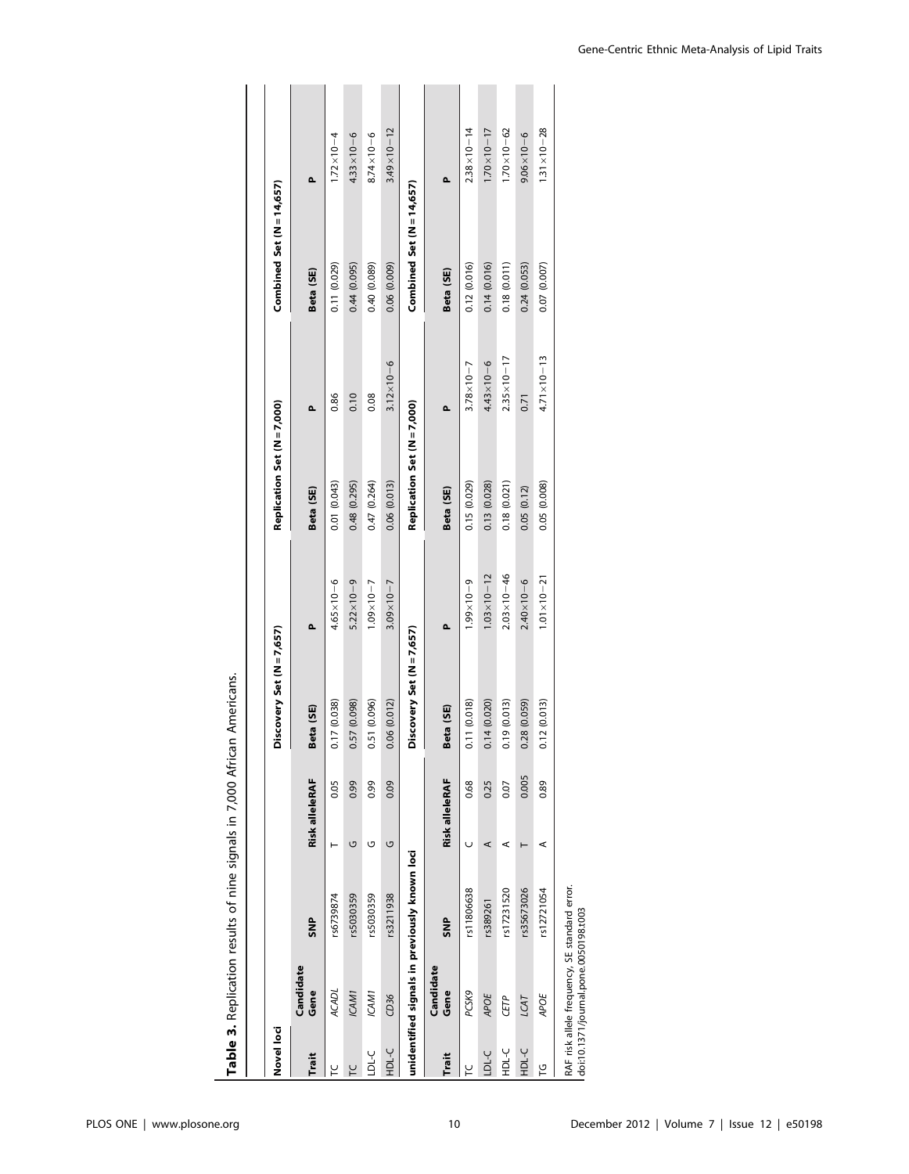| Novel loci   |                                                                                        |            |                |       | Discovery Set (N = 7,657) |                       | Replication Set (N = 7,000) |                       | Combined Set $(N = 14,657)$ |                       |
|--------------|----------------------------------------------------------------------------------------|------------|----------------|-------|---------------------------|-----------------------|-----------------------------|-----------------------|-----------------------------|-----------------------|
| Trait        | Candidate<br>Gene                                                                      | <b>SNP</b> | Risk alleleRAF |       | Beta (SE)                 | ۵                     | Beta (SE)                   | Δ.                    | Beta (SE)                   | ۵                     |
| ٢            | <b>ACADL</b>                                                                           | rs6739874  |                | 0.05  | 0.17 (0.038)              | $4.65 \times 10 - 6$  | 0.01 (0.043)                | 0.86                  | 0.11 (0.029)                | $1.72 \times 10 - 4$  |
|              | ICAM1                                                                                  | rs5030359  | U              | 0.99  | 0.57 (0.098)              | $5.22 \times 10 - 9$  | 0.48 (0.295)                | 0.10                  | 0.44(0.095)                 | $4.33 \times 10 - 6$  |
| 다.<br>그      | ICAM1                                                                                  | rs5030359  | ৩              | 0.99  | 0.51 (0.096)              | $1.09 \times 10 - 7$  | 0.47 (0.264)                | 0.08                  | 0.40 (0.089)                | $8.74 \times 10 - 6$  |
| у-IGH        | CD36                                                                                   | rs3211938  | U              | 0.09  | 0.06(0.012)               | $3.09 \times 10 - 7$  | 0.06(0.013)                 | $3.12 \times 10 - 6$  | $(600.0)$ 90.0              | $3.49 \times 10 - 12$ |
|              | unidentified signals in previously known loci                                          |            |                |       | Discovery Set (N = 7,657) |                       | Replication Set (N = 7,000) |                       | Combined Set (N = 14,657)   |                       |
|              | Candidate                                                                              |            |                |       |                           |                       |                             |                       |                             |                       |
| Trait        | Gene                                                                                   | <b>SNP</b> | Risk alleleRAF |       | Beta (SE)                 | Δ.                    | Beta (SE)                   | Δ.                    | Beta (SE)                   | Δ.                    |
| ۲C           | PCSK9                                                                                  | rs11806638 | U              | 0.68  | 0.11 (0.018)              | $6 - 01 \times 66$ .  | 0.15 (0.029)                | $3.78 \times 10 - 7$  | 0.12(0.016)                 | $2.38 \times 10 - 14$ |
| <b>LDL-C</b> | APOE                                                                                   | rs389261   | ⋖              | 0.25  | 0.14 (0.020)              | $1.03 \times 10 - 12$ | 0.13 (0.028)                | $4.43 \times 10 - 6$  | 0.14(0.016)                 | $1.70 \times 10 - 17$ |
| Ч-С          | CETP                                                                                   | rs17231520 | ⋖              | 0.07  | 0.19 (0.013)              | $2.03 \times 10 - 46$ | 0.18 (0.021)                | $2.35 \times 10 - 17$ | 0.18 (0.011)                | $1.70 \times 10 - 62$ |
| у-с<br>Д     | LCAT                                                                                   | rs35673026 |                | 0.005 | 0.28 (0.059)              | $2.40 \times 10 - 6$  | 0.05(0.12)                  | 0.71                  | 0.24 (0.053)                | $9.06 \times 10 - 6$  |
| 51           | APOE                                                                                   | rs12721054 | ⋖              | 0.89  | 0.12 (0.013)              | $1.01 \times 10 - 21$ | 0.05 (0.008)                | $4.71 \times 10 - 13$ | 0.07 (0.007)                | $1.31 \times 10 - 28$ |
|              | RAF risk allele frequency, SE standard error.<br>doi:10.1371/journal.pone.0050198.t003 |            |                |       |                           |                       |                             |                       |                             |                       |

Table 3. Replication results of nine signals in 7,000 African Americans. Table 3. Replication results of nine signals in 7,000 African Americans.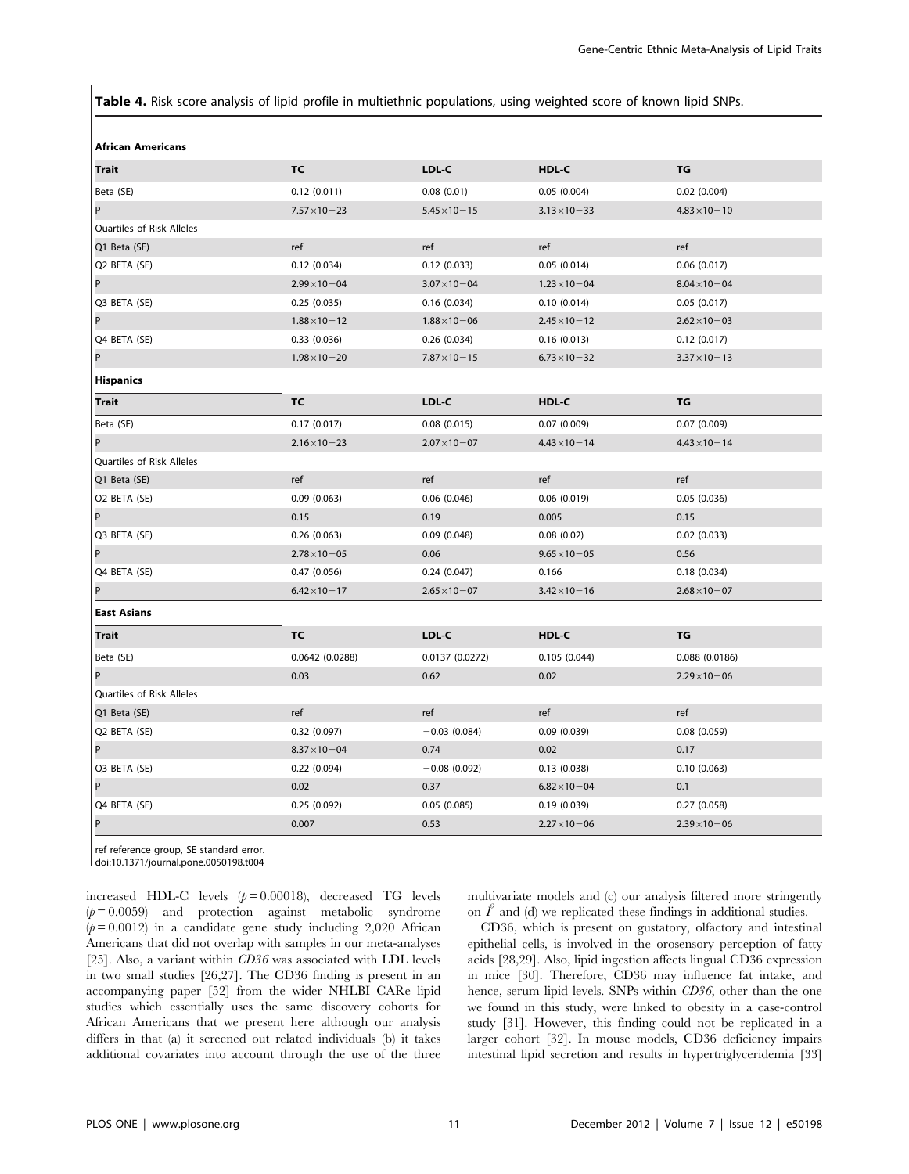Table 4. Risk score analysis of lipid profile in multiethnic populations, using weighted score of known lipid SNPs.

| <b>African Americans</b>  |                       |                       |                       |                       |
|---------------------------|-----------------------|-----------------------|-----------------------|-----------------------|
| <b>Trait</b>              | <b>TC</b>             | LDL-C                 | HDL-C                 | TG                    |
| Beta (SE)                 | 0.12(0.011)           | 0.08(0.01)            | 0.05(0.004)           | 0.02(0.004)           |
| P                         | $7.57 \times 10 - 23$ | $5.45 \times 10 - 15$ | $3.13 \times 10 - 33$ | $4.83 \times 10 - 10$ |
| Quartiles of Risk Alleles |                       |                       |                       |                       |
| Q1 Beta (SE)              | ref                   | ref                   | ref                   | ref                   |
| Q2 BETA (SE)              | 0.12(0.034)           | 0.12(0.033)           | 0.05(0.014)           | 0.06(0.017)           |
| P                         | $2.99 \times 10 - 04$ | $3.07 \times 10 - 04$ | $1.23 \times 10 - 04$ | $8.04 \times 10 - 04$ |
| Q3 BETA (SE)              | 0.25(0.035)           | 0.16(0.034)           | 0.10(0.014)           | 0.05(0.017)           |
| P                         | $1.88 \times 10 - 12$ | $1.88 \times 10 - 06$ | $2.45 \times 10 - 12$ | $2.62 \times 10 - 03$ |
| Q4 BETA (SE)              | 0.33(0.036)           | 0.26(0.034)           | 0.16(0.013)           | 0.12(0.017)           |
| P                         | $1.98 \times 10 - 20$ | $7.87 \times 10 - 15$ | $6.73 \times 10 - 32$ | $3.37 \times 10 - 13$ |
| <b>Hispanics</b>          |                       |                       |                       |                       |
| Trait                     | TC                    | LDL-C                 | HDL-C                 | TG                    |
| Beta (SE)                 | 0.17(0.017)           | 0.08(0.015)           | 0.07(0.009)           | 0.07(0.009)           |
| P                         | $2.16 \times 10 - 23$ | $2.07 \times 10 - 07$ | $4.43 \times 10 - 14$ | $4.43 \times 10 - 14$ |
| Quartiles of Risk Alleles |                       |                       |                       |                       |
| Q1 Beta (SE)              | ref                   | ref                   | ref                   | ref                   |
| Q2 BETA (SE)              | 0.09(0.063)           | 0.06(0.046)           | 0.06(0.019)           | 0.05(0.036)           |
| P                         | 0.15                  | 0.19                  | 0.005                 | 0.15                  |
| Q3 BETA (SE)              | 0.26(0.063)           | 0.09(0.048)           | 0.08(0.02)            | 0.02(0.033)           |
| P                         | $2.78 \times 10 - 05$ | 0.06                  | $9.65 \times 10 - 05$ | 0.56                  |
| Q4 BETA (SE)              | 0.47(0.056)           | 0.24(0.047)           | 0.166                 | 0.18(0.034)           |
| P                         | $6.42 \times 10 - 17$ | $2.65 \times 10 - 07$ | $3.42 \times 10 - 16$ | $2.68 \times 10 - 07$ |
| <b>East Asians</b>        |                       |                       |                       |                       |
| Trait                     | <b>TC</b>             | LDL-C                 | HDL-C                 | TG                    |
| Beta (SE)                 | 0.0642 (0.0288)       | 0.0137(0.0272)        | 0.105(0.044)          | 0.088(0.0186)         |
| P                         | 0.03                  | 0.62                  | 0.02                  | $2.29 \times 10 - 06$ |
| Quartiles of Risk Alleles |                       |                       |                       |                       |
| Q1 Beta (SE)              | ref                   | ref                   | ref                   | ref                   |
| Q2 BETA (SE)              | 0.32(0.097)           | $-0.03(0.084)$        | 0.09(0.039)           | 0.08(0.059)           |
| P                         | $8.37 \times 10 - 04$ | 0.74                  | 0.02                  | 0.17                  |
| Q3 BETA (SE)              | 0.22(0.094)           | $-0.08(0.092)$        | 0.13(0.038)           | 0.10(0.063)           |
| P                         | 0.02                  | 0.37                  | $6.82 \times 10 - 04$ | 0.1                   |
| Q4 BETA (SE)              | 0.25(0.092)           | 0.05(0.085)           | 0.19(0.039)           | 0.27(0.058)           |
| P                         | 0.007                 | 0.53                  | $2.27 \times 10 - 06$ | $2.39 \times 10 - 06$ |

ref reference group, SE standard error.

doi:10.1371/journal.pone.0050198.t004

increased HDL-C levels  $(p= 0.00018)$ , decreased TG levels  $(p= 0.0059)$  and protection against metabolic syndrome  $(p= 0.0012)$  in a candidate gene study including 2,020 African Americans that did not overlap with samples in our meta-analyses [25]. Also, a variant within CD36 was associated with LDL levels in two small studies [26,27]. The CD36 finding is present in an accompanying paper [52] from the wider NHLBI CARe lipid studies which essentially uses the same discovery cohorts for African Americans that we present here although our analysis differs in that (a) it screened out related individuals (b) it takes additional covariates into account through the use of the three multivariate models and (c) our analysis filtered more stringently on  $I^2$  and (d) we replicated these findings in additional studies.

CD36, which is present on gustatory, olfactory and intestinal epithelial cells, is involved in the orosensory perception of fatty acids [28,29]. Also, lipid ingestion affects lingual CD36 expression in mice [30]. Therefore, CD36 may influence fat intake, and hence, serum lipid levels. SNPs within CD36, other than the one we found in this study, were linked to obesity in a case-control study [31]. However, this finding could not be replicated in a larger cohort [32]. In mouse models, CD36 deficiency impairs intestinal lipid secretion and results in hypertriglyceridemia [33]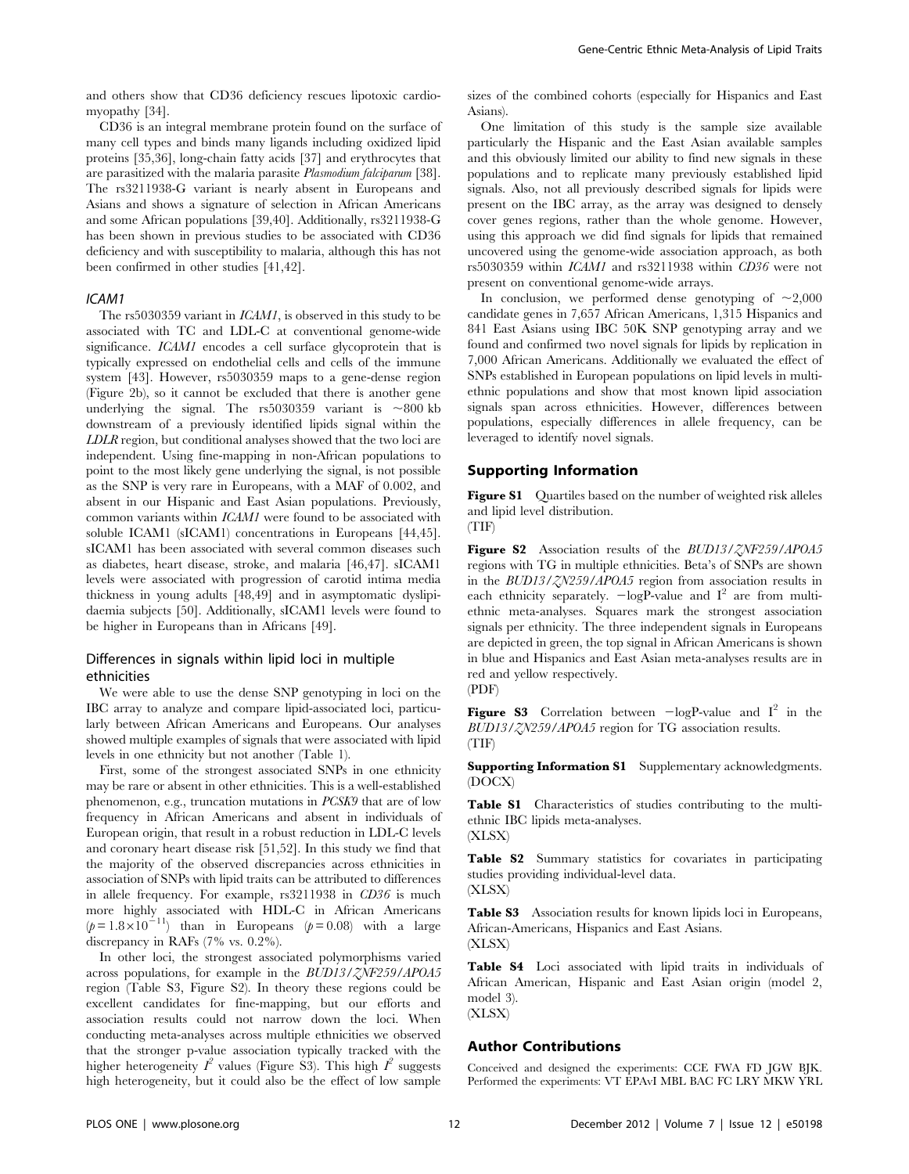and others show that CD36 deficiency rescues lipotoxic cardiomyopathy [34].

CD36 is an integral membrane protein found on the surface of many cell types and binds many ligands including oxidized lipid proteins [35,36], long-chain fatty acids [37] and erythrocytes that are parasitized with the malaria parasite Plasmodium falciparum [38]. The rs3211938-G variant is nearly absent in Europeans and Asians and shows a signature of selection in African Americans and some African populations [39,40]. Additionally, rs3211938-G has been shown in previous studies to be associated with CD36 deficiency and with susceptibility to malaria, although this has not been confirmed in other studies [41,42].

#### ICAM1

The rs5030359 variant in ICAM1, is observed in this study to be associated with TC and LDL-C at conventional genome-wide significance. ICAM1 encodes a cell surface glycoprotein that is typically expressed on endothelial cells and cells of the immune system [43]. However, rs5030359 maps to a gene-dense region (Figure 2b), so it cannot be excluded that there is another gene underlying the signal. The rs5030359 variant is  $\sim800$  kb downstream of a previously identified lipids signal within the LDLR region, but conditional analyses showed that the two loci are independent. Using fine-mapping in non-African populations to point to the most likely gene underlying the signal, is not possible as the SNP is very rare in Europeans, with a MAF of 0.002, and absent in our Hispanic and East Asian populations. Previously, common variants within ICAM1 were found to be associated with soluble ICAM1 (sICAM1) concentrations in Europeans [44,45]. sICAM1 has been associated with several common diseases such as diabetes, heart disease, stroke, and malaria [46,47]. sICAM1 levels were associated with progression of carotid intima media thickness in young adults [48,49] and in asymptomatic dyslipidaemia subjects [50]. Additionally, sICAM1 levels were found to be higher in Europeans than in Africans [49].

# Differences in signals within lipid loci in multiple ethnicities

We were able to use the dense SNP genotyping in loci on the IBC array to analyze and compare lipid-associated loci, particularly between African Americans and Europeans. Our analyses showed multiple examples of signals that were associated with lipid levels in one ethnicity but not another (Table 1).

First, some of the strongest associated SNPs in one ethnicity may be rare or absent in other ethnicities. This is a well-established phenomenon, e.g., truncation mutations in PCSK9 that are of low frequency in African Americans and absent in individuals of European origin, that result in a robust reduction in LDL-C levels and coronary heart disease risk [51,52]. In this study we find that the majority of the observed discrepancies across ethnicities in association of SNPs with lipid traits can be attributed to differences in allele frequency. For example, rs3211938 in CD36 is much more highly associated with HDL-C in African Americans  $(p= 1.8 \times 10^{-11})$  than in Europeans  $(p= 0.08)$  with a large discrepancy in RAFs (7% vs. 0.2%).

In other loci, the strongest associated polymorphisms varied across populations, for example in the BUD13/ZNF259/APOA5 region (Table S3, Figure S2). In theory these regions could be excellent candidates for fine-mapping, but our efforts and association results could not narrow down the loci. When conducting meta-analyses across multiple ethnicities we observed that the stronger p-value association typically tracked with the higher heterogeneity  $I^2$  values (Figure S3). This high  $I^2$  suggests high heterogeneity, but it could also be the effect of low sample

sizes of the combined cohorts (especially for Hispanics and East Asians).

One limitation of this study is the sample size available particularly the Hispanic and the East Asian available samples and this obviously limited our ability to find new signals in these populations and to replicate many previously established lipid signals. Also, not all previously described signals for lipids were present on the IBC array, as the array was designed to densely cover genes regions, rather than the whole genome. However, using this approach we did find signals for lipids that remained uncovered using the genome-wide association approach, as both rs5030359 within ICAM1 and rs3211938 within CD36 were not present on conventional genome-wide arrays.

In conclusion, we performed dense genotyping of  $\sim 2,000$ candidate genes in 7,657 African Americans, 1,315 Hispanics and 841 East Asians using IBC 50K SNP genotyping array and we found and confirmed two novel signals for lipids by replication in 7,000 African Americans. Additionally we evaluated the effect of SNPs established in European populations on lipid levels in multiethnic populations and show that most known lipid association signals span across ethnicities. However, differences between populations, especially differences in allele frequency, can be leveraged to identify novel signals.

# Supporting Information

Figure S1 Quartiles based on the number of weighted risk alleles and lipid level distribution.

(TIF)

Figure S2 Association results of the BUD13/ZNF259/APOA5 regions with TG in multiple ethnicities. Beta's of SNPs are shown in the BUD13/ZN259/APOA5 region from association results in each ethnicity separately.  $-\log P$ -value and  $I^2$  are from multiethnic meta-analyses. Squares mark the strongest association signals per ethnicity. The three independent signals in Europeans are depicted in green, the top signal in African Americans is shown in blue and Hispanics and East Asian meta-analyses results are in red and yellow respectively.



**Figure S3** Correlation between  $-\log P$ -value and  $I^2$  in the BUD13/ZN259/APOA5 region for TG association results. (TIF)

Supporting Information S1 Supplementary acknowledgments. (DOCX)

Table S1 Characteristics of studies contributing to the multiethnic IBC lipids meta-analyses.

(XLSX)

Table S2 Summary statistics for covariates in participating studies providing individual-level data.

(XLSX)

Table S3 Association results for known lipids loci in Europeans, African-Americans, Hispanics and East Asians. (XLSX)

Table S4 Loci associated with lipid traits in individuals of African American, Hispanic and East Asian origin (model 2, model 3). (XLSX)

#### Author Contributions

Conceived and designed the experiments: CCE FWA FD JGW BJK. Performed the experiments: VT EPAvI MBL BAC FC LRY MKW YRL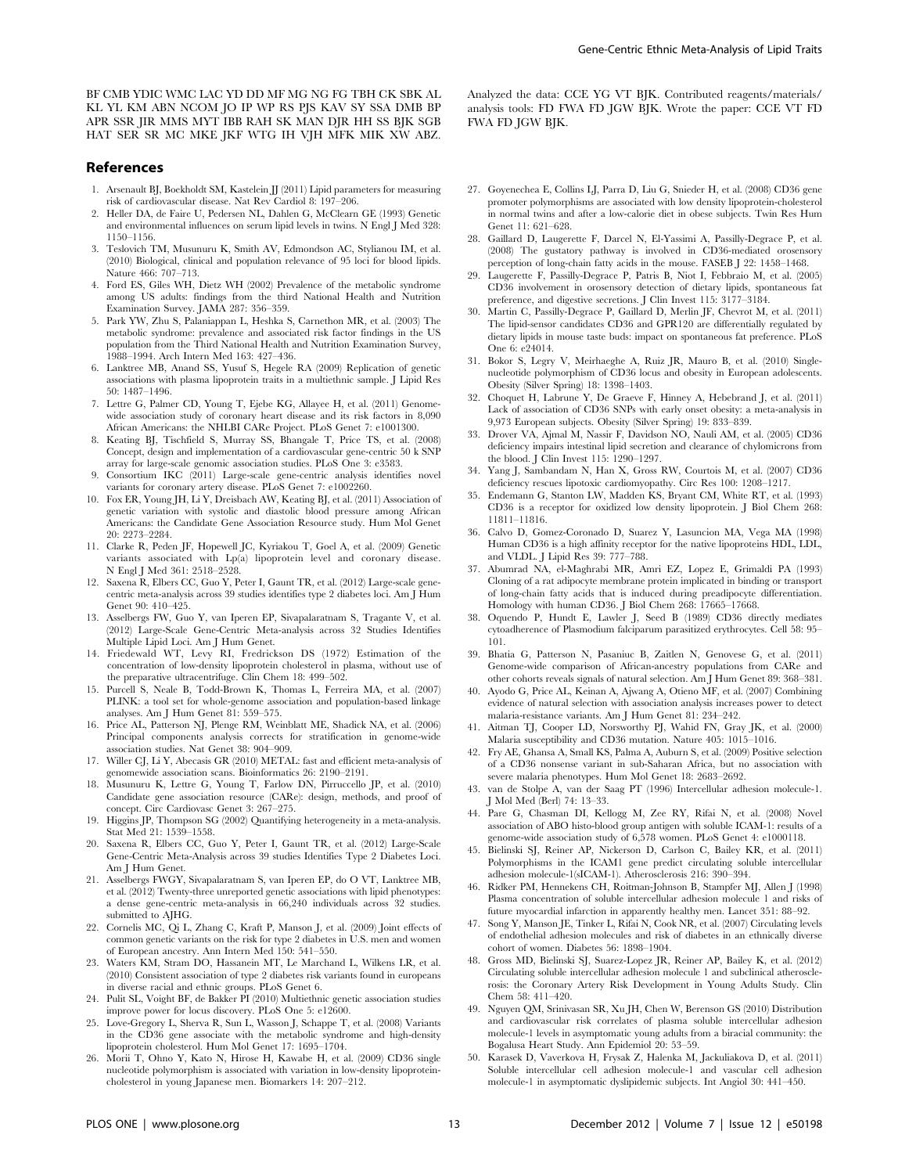BF CMB YDIC WMC LAC YD DD MF MG NG FG TBH CK SBK AL KL YL KM ABN NCOM JO IP WP RS PJS KAV SY SSA DMB BP APR SSR JIR MMS MYT IBB RAH SK MAN DJR HH SS BJK SGB HAT SER SR MC MKE JKF WTG IH VJH MFK MIK XW ABZ.

# References

- 1. Arsenault BJ, Boekholdt SM, Kastelein JJ (2011) Lipid parameters for measuring risk of cardiovascular disease. Nat Rev Cardiol 8: 197–206.
- 2. Heller DA, de Faire U, Pedersen NL, Dahlen G, McClearn GE (1993) Genetic and environmental influences on serum lipid levels in twins. N Engl J Med 328: 1150–1156.
- 3. Teslovich TM, Musunuru K, Smith AV, Edmondson AC, Stylianou IM, et al. (2010) Biological, clinical and population relevance of 95 loci for blood lipids. Nature 466: 707–713.
- 4. Ford ES, Giles WH, Dietz WH (2002) Prevalence of the metabolic syndrome among US adults: findings from the third National Health and Nutrition Examination Survey. JAMA 287: 356–359.
- 5. Park YW, Zhu S, Palaniappan L, Heshka S, Carnethon MR, et al. (2003) The metabolic syndrome: prevalence and associated risk factor findings in the US population from the Third National Health and Nutrition Examination Survey, 1988–1994. Arch Intern Med 163: 427–436.
- 6. Lanktree MB, Anand SS, Yusuf S, Hegele RA (2009) Replication of genetic associations with plasma lipoprotein traits in a multiethnic sample. J Lipid Res 50: 1487–1496.
- 7. Lettre G, Palmer CD, Young T, Ejebe KG, Allayee H, et al. (2011) Genomewide association study of coronary heart disease and its risk factors in 8,090 African Americans: the NHLBI CARe Project. PLoS Genet 7: e1001300.
- 8. Keating BJ, Tischfield S, Murray SS, Bhangale T, Price TS, et al. (2008) Concept, design and implementation of a cardiovascular gene-centric 50 k SNP array for large-scale genomic association studies. PLoS One 3: e3583.
- 9. Consortium IKC (2011) Large-scale gene-centric analysis identifies novel variants for coronary artery disease. PLoS Genet 7: e1002260.
- 10. Fox ER, Young JH, Li Y, Dreisbach AW, Keating BJ, et al. (2011) Association of genetic variation with systolic and diastolic blood pressure among African Americans: the Candidate Gene Association Resource study. Hum Mol Genet 20: 2273–2284.
- 11. Clarke R, Peden JF, Hopewell JC, Kyriakou T, Goel A, et al. (2009) Genetic variants associated with Lp(a) lipoprotein level and coronary disease. N Engl J Med 361: 2518–2528.
- 12. Saxena R, Elbers CC, Guo Y, Peter I, Gaunt TR, et al. (2012) Large-scale genecentric meta-analysis across 39 studies identifies type 2 diabetes loci. Am J Hum Genet 90: 410–425.
- 13. Asselbergs FW, Guo Y, van Iperen EP, Sivapalaratnam S, Tragante V, et al. (2012) Large-Scale Gene-Centric Meta-analysis across 32 Studies Identifies Multiple Lipid Loci. Am J Hum Genet.
- 14. Friedewald WT, Levy RI, Fredrickson DS (1972) Estimation of the concentration of low-density lipoprotein cholesterol in plasma, without use of the preparative ultracentrifuge. Clin Chem 18: 499–502.
- 15. Purcell S, Neale B, Todd-Brown K, Thomas L, Ferreira MA, et al. (2007) PLINK: a tool set for whole-genome association and population-based linkage analyses. Am J Hum Genet 81: 559–575.
- 16. Price AL, Patterson NJ, Plenge RM, Weinblatt ME, Shadick NA, et al. (2006) Principal components analysis corrects for stratification in genome-wide association studies. Nat Genet 38: 904–909.
- 17. Willer CJ, Li Y, Abecasis GR (2010) METAL: fast and efficient meta-analysis of genomewide association scans. Bioinformatics 26: 2190–2191.
- 18. Musunuru K, Lettre G, Young T, Farlow DN, Pirruccello JP, et al. (2010) Candidate gene association resource (CARe): design, methods, and proof of concept. Circ Cardiovasc Genet 3: 267–275.
- 19. Higgins JP, Thompson SG (2002) Quantifying heterogeneity in a meta-analysis. Stat Med 21: 1539–1558.
- 20. Saxena R, Elbers CC, Guo Y, Peter I, Gaunt TR, et al. (2012) Large-Scale Gene-Centric Meta-Analysis across 39 studies Identifies Type 2 Diabetes Loci. Am J Hum Genet
- 21. Asselbergs FWGY, Sivapalaratnam S, van Iperen EP, do O VT, Lanktree MB, et al. (2012) Twenty-three unreported genetic associations with lipid phenotypes: a dense gene-centric meta-analysis in 66,240 individuals across 32 studies. submitted to AJHG.
- 22. Cornelis MC, Qi L, Zhang C, Kraft P, Manson J, et al. (2009) Joint effects of common genetic variants on the risk for type 2 diabetes in U.S. men and women of European ancestry. Ann Intern Med 150: 541–550.
- 23. Waters KM, Stram DO, Hassanein MT, Le Marchand L, Wilkens LR, et al. (2010) Consistent association of type 2 diabetes risk variants found in europeans in diverse racial and ethnic groups. PLoS Genet 6.
- 24. Pulit SL, Voight BF, de Bakker PI (2010) Multiethnic genetic association studies improve power for locus discovery. PLoS One 5: e12600.
- 25. Love-Gregory L, Sherva R, Sun L, Wasson J, Schappe T, et al. (2008) Variants in the CD36 gene associate with the metabolic syndrome and high-density lipoprotein cholesterol. Hum Mol Genet 17: 1695–1704.
- 26. Morii T, Ohno Y, Kato N, Hirose H, Kawabe H, et al. (2009) CD36 single nucleotide polymorphism is associated with variation in low-density lipoproteincholesterol in young Japanese men. Biomarkers 14: 207–212.

Analyzed the data: CCE YG VT BJK. Contributed reagents/materials/ analysis tools: FD FWA FD JGW BJK. Wrote the paper: CCE VT FD FWA FD JGW BJK.

- 27. Goyenechea E, Collins LJ, Parra D, Liu G, Snieder H, et al. (2008) CD36 gene promoter polymorphisms are associated with low density lipoprotein-cholesterol in normal twins and after a low-calorie diet in obese subjects. Twin Res Hum Genet 11: 621–628.
- 28. Gaillard D, Laugerette F, Darcel N, El-Yassimi A, Passilly-Degrace P, et al. (2008) The gustatory pathway is involved in CD36-mediated orosensory perception of long-chain fatty acids in the mouse. FASEB J 22: 1458–1468.
- 29. Laugerette F, Passilly-Degrace P, Patris B, Niot I, Febbraio M, et al. (2005) CD36 involvement in orosensory detection of dietary lipids, spontaneous fat preference, and digestive secretions. J Clin Invest 115: 3177–3184.
- 30. Martin C, Passilly-Degrace P, Gaillard D, Merlin JF, Chevrot M, et al. (2011) The lipid-sensor candidates CD36 and GPR120 are differentially regulated by dietary lipids in mouse taste buds: impact on spontaneous fat preference. PLoS One 6: e24014.
- 31. Bokor S, Legry V, Meirhaeghe A, Ruiz JR, Mauro B, et al. (2010) Singlenucleotide polymorphism of CD36 locus and obesity in European adolescents. Obesity (Silver Spring) 18: 1398–1403.
- 32. Choquet H, Labrune Y, De Graeve F, Hinney A, Hebebrand J, et al. (2011) Lack of association of CD36 SNPs with early onset obesity: a meta-analysis in 9,973 European subjects. Obesity (Silver Spring) 19: 833–839.
- 33. Drover VA, Ajmal M, Nassir F, Davidson NO, Nauli AM, et al. (2005) CD36 deficiency impairs intestinal lipid secretion and clearance of chylomicrons from the blood. J Clin Invest 115: 1290–1297.
- 34. Yang J, Sambandam N, Han X, Gross RW, Courtois M, et al. (2007) CD36 deficiency rescues lipotoxic cardiomyopathy. Circ Res 100: 1208–1217.
- 35. Endemann G, Stanton LW, Madden KS, Bryant CM, White RT, et al. (1993) CD36 is a receptor for oxidized low density lipoprotein. J Biol Chem 268: 11811–11816.
- 36. Calvo D, Gomez-Coronado D, Suarez Y, Lasuncion MA, Vega MA (1998) Human CD36 is a high affinity receptor for the native lipoproteins HDL, LDL, and VLDL. J Lipid Res 39: 777–788.
- 37. Abumrad NA, el-Maghrabi MR, Amri EZ, Lopez E, Grimaldi PA (1993) Cloning of a rat adipocyte membrane protein implicated in binding or transport of long-chain fatty acids that is induced during preadipocyte differentiation. Homology with human CD36. J Biol Chem 268: 17665–17668.
- 38. Oquendo P, Hundt E, Lawler J, Seed B (1989) CD36 directly mediates cytoadherence of Plasmodium falciparum parasitized erythrocytes. Cell 58: 95– 101.
- 39. Bhatia G, Patterson N, Pasaniuc B, Zaitlen N, Genovese G, et al. (2011) Genome-wide comparison of African-ancestry populations from CARe and other cohorts reveals signals of natural selection. Am J Hum Genet 89: 368–381.
- 40. Ayodo G, Price AL, Keinan A, Ajwang A, Otieno MF, et al. (2007) Combining evidence of natural selection with association analysis increases power to detect malaria-resistance variants. Am J Hum Genet 81: 234–242.
- 41. Aitman TJ, Cooper LD, Norsworthy PJ, Wahid FN, Gray JK, et al. (2000) Malaria susceptibility and CD36 mutation. Nature 405: 1015–1016.
- 42. Fry AE, Ghansa A, Small KS, Palma A, Auburn S, et al. (2009) Positive selection of a CD36 nonsense variant in sub-Saharan Africa, but no association with severe malaria phenotypes. Hum Mol Genet 18: 2683–2692.
- 43. van de Stolpe A, van der Saag PT (1996) Intercellular adhesion molecule-1. J Mol Med (Berl) 74: 13–33.
- 44. Pare G, Chasman DI, Kellogg M, Zee RY, Rifai N, et al. (2008) Novel association of ABO histo-blood group antigen with soluble ICAM-1: results of a genome-wide association study of 6,578 women. PLoS Genet 4: e1000118.
- 45. Bielinski SJ, Reiner AP, Nickerson D, Carlson C, Bailey KR, et al. (2011) Polymorphisms in the ICAM1 gene predict circulating soluble intercellular adhesion molecule-1(sICAM-1). Atherosclerosis 216: 390–394.
- 46. Ridker PM, Hennekens CH, Roitman-Johnson B, Stampfer MJ, Allen J (1998) Plasma concentration of soluble intercellular adhesion molecule 1 and risks of future myocardial infarction in apparently healthy men. Lancet 351: 88–92.
- 47. Song Y, Manson JE, Tinker L, Rifai N, Cook NR, et al. (2007) Circulating levels of endothelial adhesion molecules and risk of diabetes in an ethnically diverse cohort of women. Diabetes 56: 1898–1904.
- 48. Gross MD, Bielinski SJ, Suarez-Lopez JR, Reiner AP, Bailey K, et al. (2012) Circulating soluble intercellular adhesion molecule 1 and subclinical atherosclerosis: the Coronary Artery Risk Development in Young Adults Study. Clin Chem 58: 411–420.
- 49. Nguyen QM, Srinivasan SR, Xu JH, Chen W, Berenson GS (2010) Distribution and cardiovascular risk correlates of plasma soluble intercellular adhesion molecule-1 levels in asymptomatic young adults from a biracial community: the Bogalusa Heart Study. Ann Epidemiol 20: 53–59.
- 50. Karasek D, Vaverkova H, Frysak Z, Halenka M, Jackuliakova D, et al. (2011) Soluble intercellular cell adhesion molecule-1 and vascular cell adhesion molecule-1 in asymptomatic dyslipidemic subjects. Int Angiol 30: 441–450.